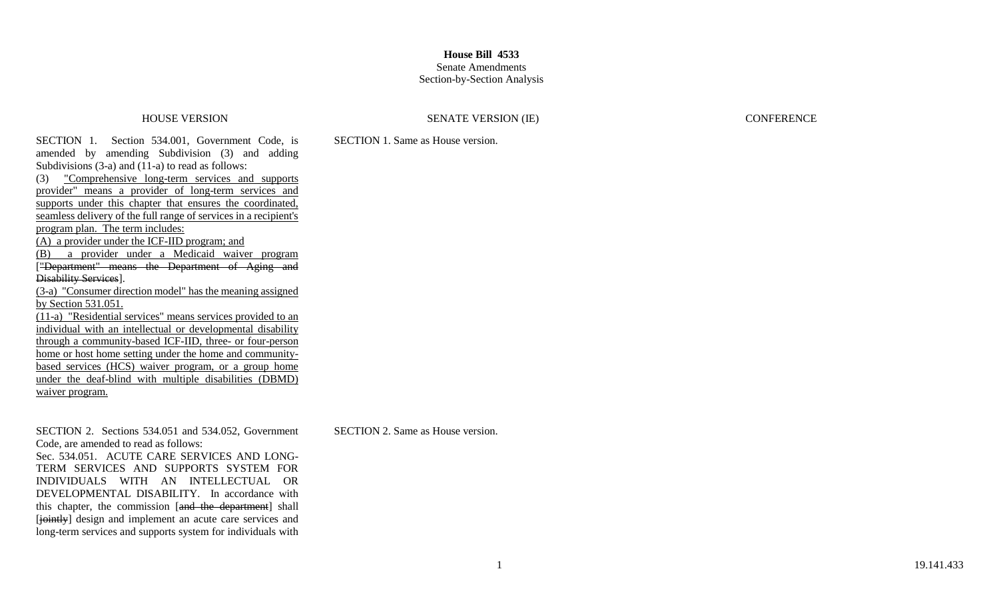# Senate Amendments

## Section-by-Section Analysis

### HOUSE VERSION SENATE VERSION (IE) CONFERENCE

SECTION 1. Section 534.001, Government Code, is amended by amending Subdivision (3) and adding Subdivisions (3-a) and (11-a) to read as follows: (3) "Comprehensive long-term services and supports provider" means a provider of long-term services and supports under this chapter that ensures the coordinated, seamless delivery of the full range of services in a recipient's program plan. The term includes: (A) a provider under the ICF-IID program; and (B) a provider under a Medicaid waiver program ["Department" means the Department of Aging and Disability Services]. (3-a) "Consumer direction model" has the meaning assigned by Section 531.051. (11-a) "Residential services" means services provided to an individual with an intellectual or developmental disability through a community-based ICF-IID, three- or four-person home or host home setting under the home and communitybased services (HCS) waiver program, or a group home under the deaf-blind with multiple disabilities (DBMD) waiver program.

SECTION 2. Sections 534.051 and 534.052, Government Code, are amended to read as follows: Sec. 534.051. ACUTE CARE SERVICES AND LONG-TERM SERVICES AND SUPPORTS SYSTEM FOR INDIVIDUALS WITH AN INTELLECTUAL OR DEVELOPMENTAL DISABILITY. In accordance with this chapter, the commission [and the department] shall [jointly] design and implement an acute care services and long-term services and supports system for individuals with SECTION 1. Same as House version.

SECTION 2. Same as House version.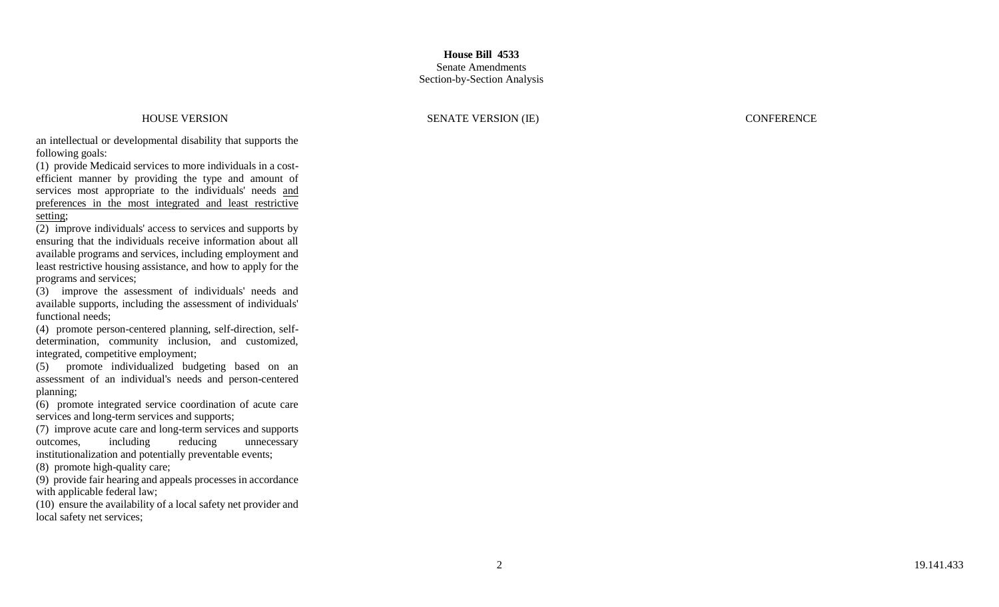HOUSE VERSION SENATE VERSION (IE) CONFERENCE

an intellectual or developmental disability that supports the following goals:

(1) provide Medicaid services to more individuals in a cost efficient manner by providing the type and amount of services most appropriate to the individuals' needs and preferences in the most integrated and least restrictive setting;

(2) improve individuals' access to services and supports by ensuring that the individuals receive information about all available programs and services, including employment and least restrictive housing assistance, and how to apply for the programs and services;

(3) improve the assessment of individuals' needs and available supports, including the assessment of individuals' functional needs;

(4) promote person -centered planning, self-direction, self determination, community inclusion, and customized, integrated, competitive employment;

(5) promote individualized budgeting based on an assessment of an individual's needs and person -centered planning;

(6) promote integrated service coordination of acute care services and long -term services and supports;

(7) improve acute care and long -term services and supports outcomes, including reducing unnecessary institutionalization and potentially preventable events;

(8) promote high -quality care;

(9) provide fair hearing and appeals processes in accordance with applicable federal law;

(10) ensure the availability of a local safety net provider and local safety net services;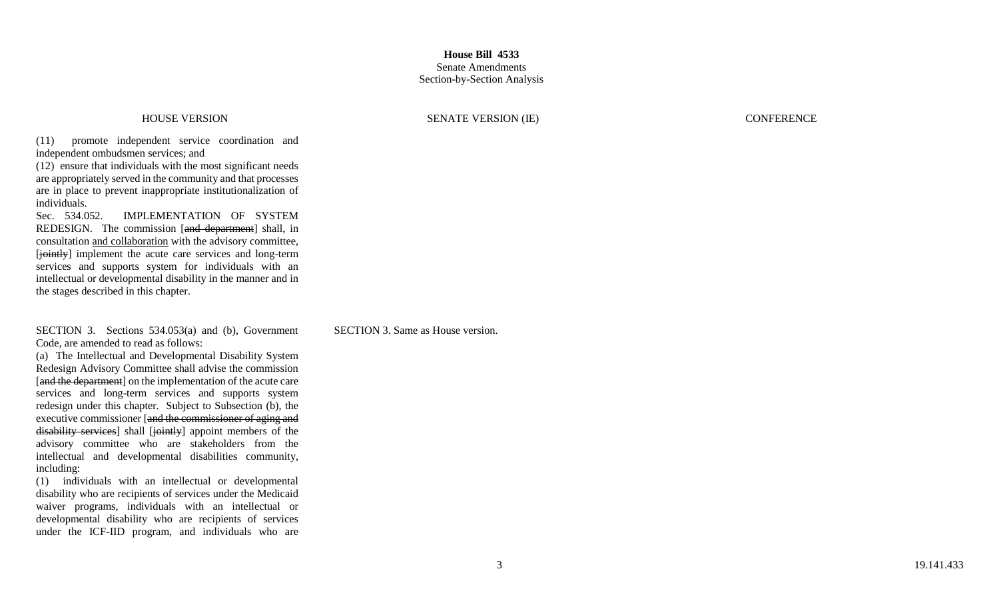### HOUSE VERSION SENATE VERSION (IE) CONFERENCE

(11) promote independent service coordination and independent ombudsmen services; and

(12) ensure that individuals with the most significant needs are appropriately served in the community and that processes are in place to prevent inappropriate institutionalization of individuals.

Sec. 534.052. IMPLEMENTATION OF SYSTEM REDESIGN. The commission [and department] shall, in consultation and collaboration with the advisory committee, [jointly] implement the acute care services and long-term services and supports system for individuals with an intellectual or developmental disability in the manner and in the stages described in this chapter.

SECTION 3. Sections 534.053(a) and (b), Government Code, are amended to read as follows:

(a) The Intellectual and Developmental Disability System [and the department] on the implementation of the acute care services and long-term services and supports system redesign under this chapter. Subject to Subsection (b), the executive commissioner [and the commissioner of aging and disability services] shall [jointly] appoint members of the advisory committee who are stakeholders from the intellectual and developmental disabilities community, including:

(1) individuals with an intellectual or developmental disability who are recipients of services under the Medicaid waiver programs, individuals with an intellectual or developmental disability who are recipients of services under the ICF -IID program, and individuals who are SECTION 3. Same as House version.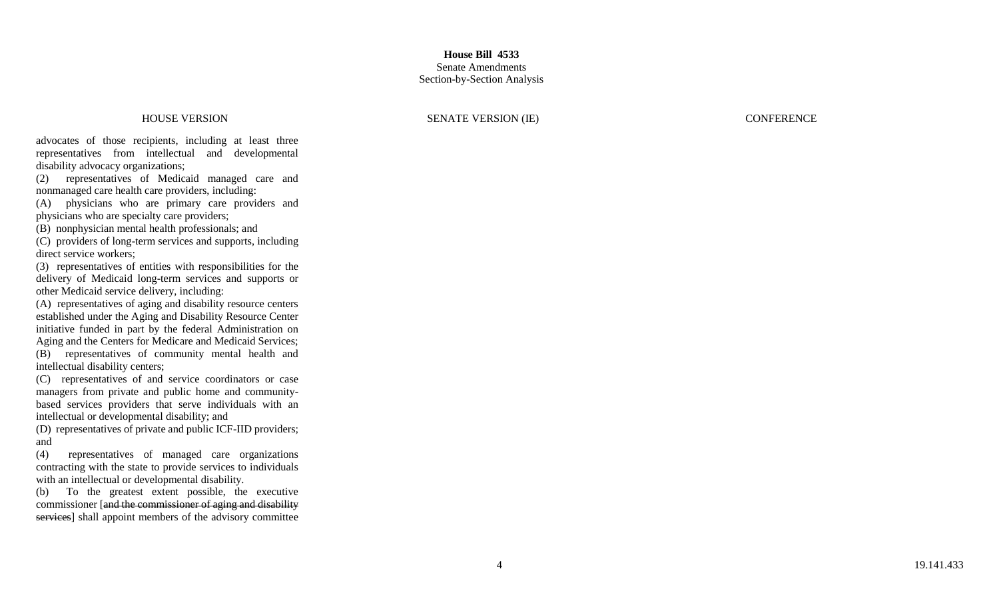### HOUSE VERSION SENATE VERSION (IE) CONFERENCE

advocates of those recipients, including at least three representatives from intellectual and developmental disability advocacy organizations;

(2) representatives of Medicaid managed care and nonmanaged care health care providers, including:

(A) physicians who are primary care providers and physicians who are specialty care providers;

(B) nonphysician mental health professionals; and

(C) providers of long -term services and supports, including direct service workers;

(3) representatives of entities with responsibilities for the delivery of Medicaid long -term services and supports or other Medicaid service delivery, including:

(A) representatives of aging and disability resource centers established under the Aging and Disability Resource Center initiative funded in part by the federal Administration on Aging and the Centers for Medicare and Medicaid Services; (B) representatives of community mental health and intellectual disability centers;

(C) representatives of and service coordinators or case managers from private and public home and community based services providers that serve individuals with an intellectual or developmental disability; and

(D) representatives of private and public ICF -IID providers; and

(4) representatives of managed care organizations contracting with the state to provide services to individuals with an intellectual or developmental disability.

(b) To the greatest extent possible, the executive commissioner [and the commissioner of aging and disability services] shall appoint members of the advisory committee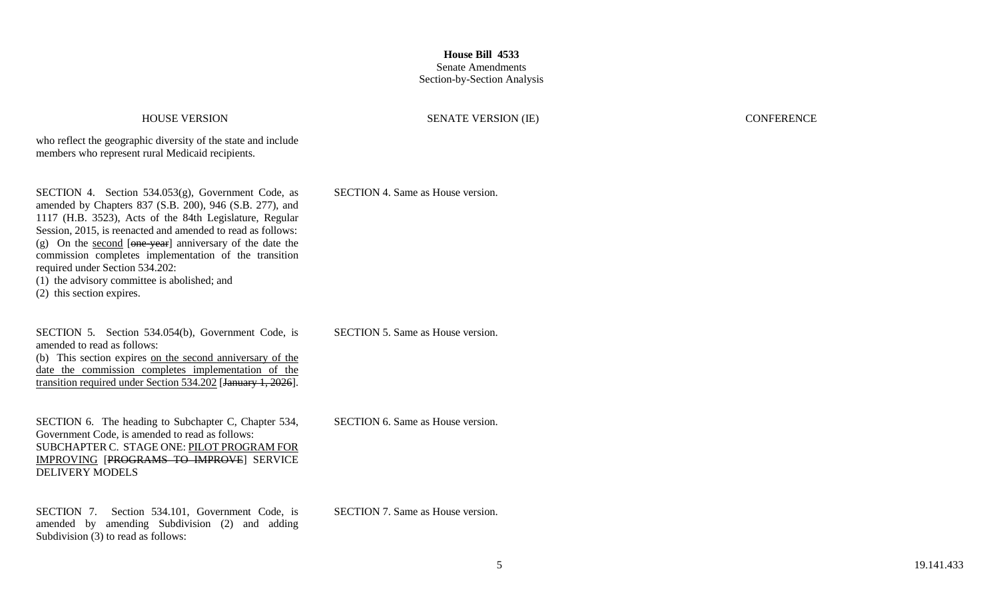### HOUSE VERSION SENATE VERSION (IE) CONFERENCE

who reflect the geographic diversity of the state and include members who represent rural Medicaid recipients.

SECTION 4. Section 534.053(g), Government Code, as amended by Chapters 837 (S.B. 200), 946 (S.B. 277), and 1117 (H.B. 3523), Acts of the 84th Legislature, Regular Session, 2015, is reenacted and amended to read as follows: (g) On the second  $[\theta_{\text{one}-\text{year}}]$  anniversary of the date the commission completes implementation of the transition required under Section 534.202: (1) the advisory committee is abolished; and (2) this section expires.

SECTION 5. Section 534.054(b), Government Code, is amended to read as follows: (b) This section expires on the second anniversary of the date the commission completes implementation of the transition required under Section 534.202 [January 1, 2026]. SECTION 5. Same as House version.

SECTION 6. The heading to Subchapter C, Chapter 534, Government Code, is amended to read as follows: SUBCHAPTER C. STAGE ONE: PILOT PROGRAM FOR IMPROVING [PROGRAMS TO IMPROVE] SERVICE DELIVERY MODELS

SECTION 7. Section 534.101, Government Code, is amended by amending Subdivision (2) and adding Subdivision (3) to read as follows:

SECTION 6. Same as House version.

SECTION 4. Same as House version.

SECTION 7. Same as House version.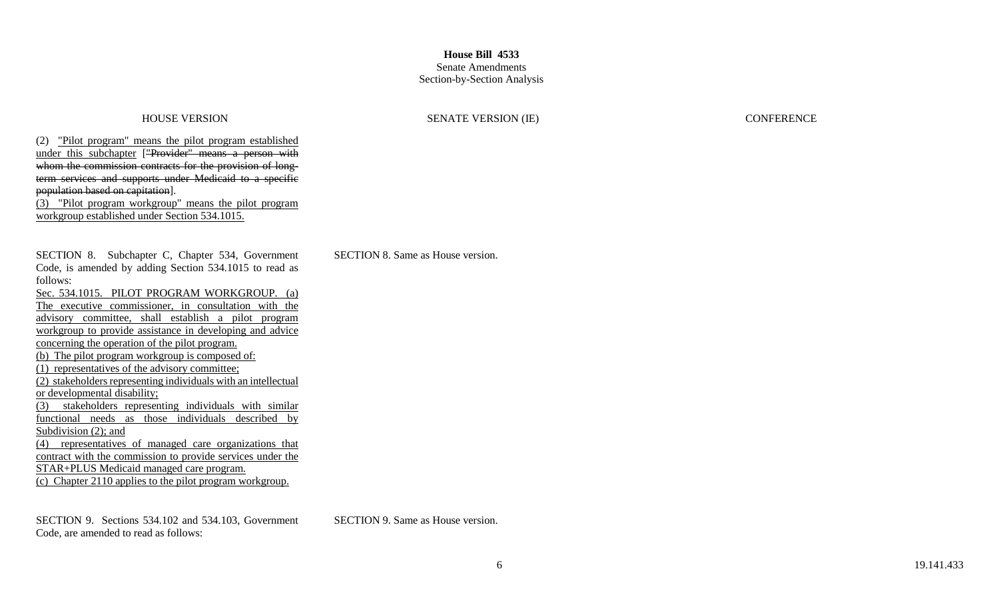### Senate Amendments Section-by-Section Analysis

### HOUSE VERSION SENATE VERSION (IE) CONFERENCE

(2) "Pilot program" means the pilot program established under this subchapter ["Provider" means a person with whom the commission contracts for the provision of longterm services and supports under Medicaid to a specific population based on capitation].

(3) "Pilot program workgroup" means the pilot program workgroup established under Section 534.1015.

SECTION 8. Subchapter C, Chapter 534, Government Code, is amended by adding Section 534.1015 to read as follows:

Sec. 534.1015. PILOT PROGRAM WORKGROUP. (a) The executive commissioner, in consultation with the advisory committee, shall establish a pilot program workgroup to provide assistance in developing and advice concerning the operation of the pilot program. (b) The pilot program workgroup is composed of: (1) representatives of the advisory committee; (2) stakeholders representing individuals with an intellectual or developmental disability; (3) stakeholders representing individuals with similar functional needs as those individuals described by Subdivision (2); and (4) representatives of managed care organizations that contract with the commission to provide services under the STAR+PLUS Medicaid managed care program.

(c) Chapter 2110 applies to the pilot program workgroup.

SECTION 9. Sections 534.102 and 534.103, Government Code, are amended to read as follows:

SECTION 8. Same as House version.

SECTION 9. Same as House version.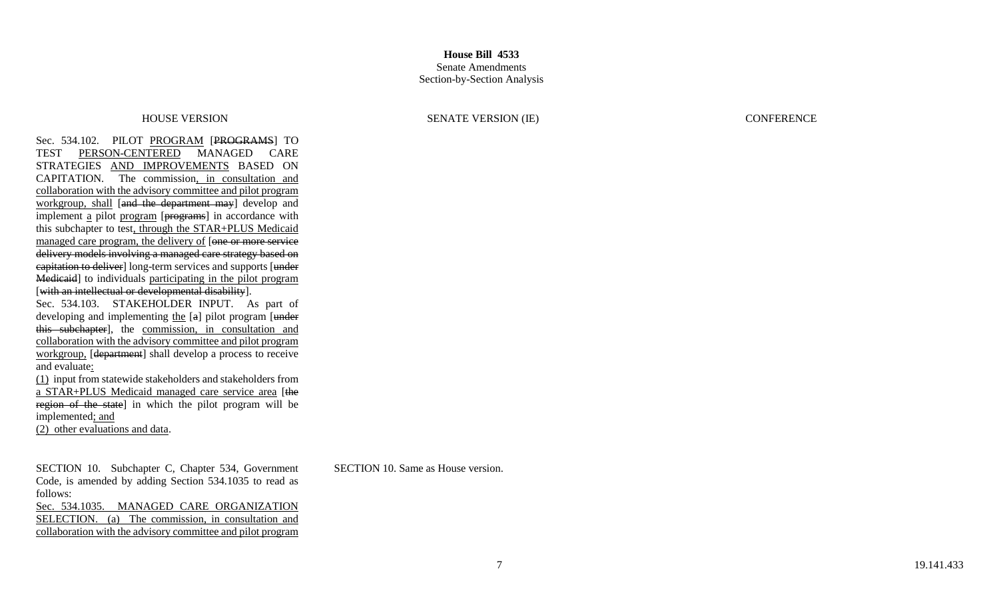Sec. 534.102. PILOT PROGRAM [PROGRAMS] TO TEST PERSON-CENTERED MANAGED CARE STRATEGIES AND IMPROVEMENTS BASED ON CAPITATION. The commission, in consultation and collaboration with the advisory committee and pilot program workgroup, shall [and the department may] develop and implement a pilot program [programs] in accordance with this subchapter to test, through the STAR+PLUS Medicaid managed care program, the delivery of [one or more service] delivery models involving a managed care strategy based on eapitation to deliver] long-term services and supports [under] Medicaid] to individuals participating in the pilot program [with an intellectual or developmental disability].

Sec. 534.103. STAKEHOLDER INPUT. As part of developing and implementing the [a] pilot program [under] this subchapter], the commission, in consultation and collaboration with the advisory committee and pilot program workgroup, [department] shall develop a process to receive and evaluate:

(1) input from statewide stakeholders and stakeholders from a STAR+PLUS Medicaid managed care service area [the region of the state] in which the pilot program will be implemented; and

(2) other evaluations and data.

SECTION 10. Subchapter C, Chapter 534, Government Code, is amended by adding Section 534.1035 to read as follows: Sec. 534.1035. MANAGED CARE ORGANIZATION

SELECTION. (a) The commission, in consultation and collaboration with the advisory committee and pilot program

HOUSE VERSION SENATE VERSION (IE) CONFERENCE

SECTION 10. Same as House version.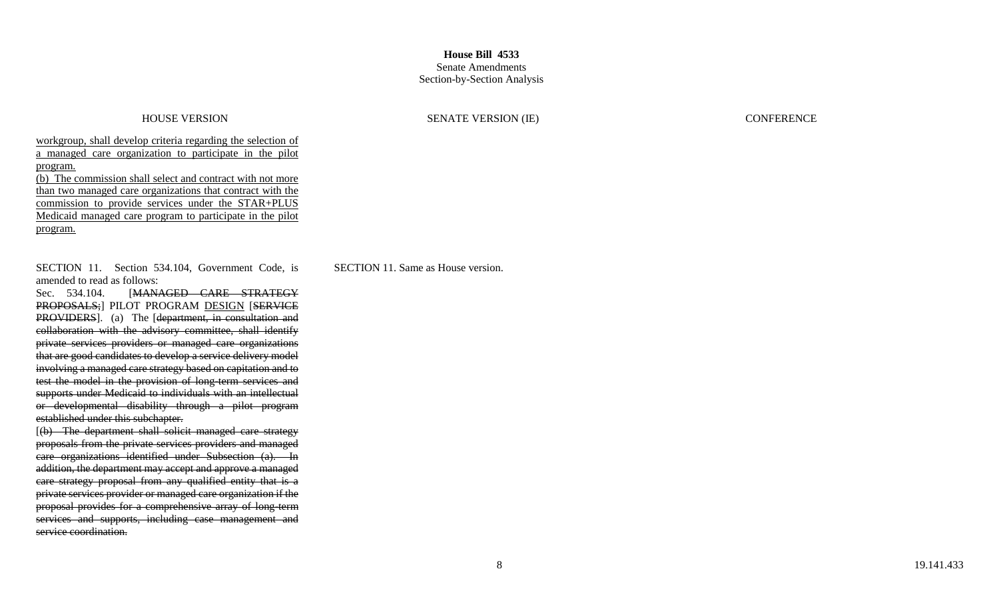### Senate Amendments Section-by-Section Analysis

HOUSE VERSION SENATE VERSION (IE) CONFERENCE

workgroup, shall develop criteria regarding the selection of a managed care organization to participate in the pilot program.

(b) The commission shall select and contract with not more than two managed care organizations that contract with the commission to provide services under the STAR+PLUS Medicaid managed care program to participate in the pilot program.

SECTION 11. Section 534.104, Government Code, is amended to read as follows:

Sec. 534.104. [MANAGED CARE STRATEGY PROPOSALS; PILOT PROGRAM DESIGN [SERVICE PROVIDERS]. (a) The [department, in consultation and collaboration with the advisory committee, shall identify private services providers or managed care organizations that are good candidates to develop a service delivery model involving a managed care strategy based on capitation and to test the model in the provision of long-term services and supports under Medicaid to individuals with an intellectual or developmental disability through a pilot program established under this subchapter.

[(b) The department shall solicit managed care strategy proposals from the private services providers and managed care organizations identified under Subsection (a). In addition, the department may accept and approve a managed care strategy proposal from any qualified entity that is a private services provider or managed care organization if the proposal provides for a comprehensive array of long-term services and supports, including case management and service coordination.

SECTION 11. Same as House version.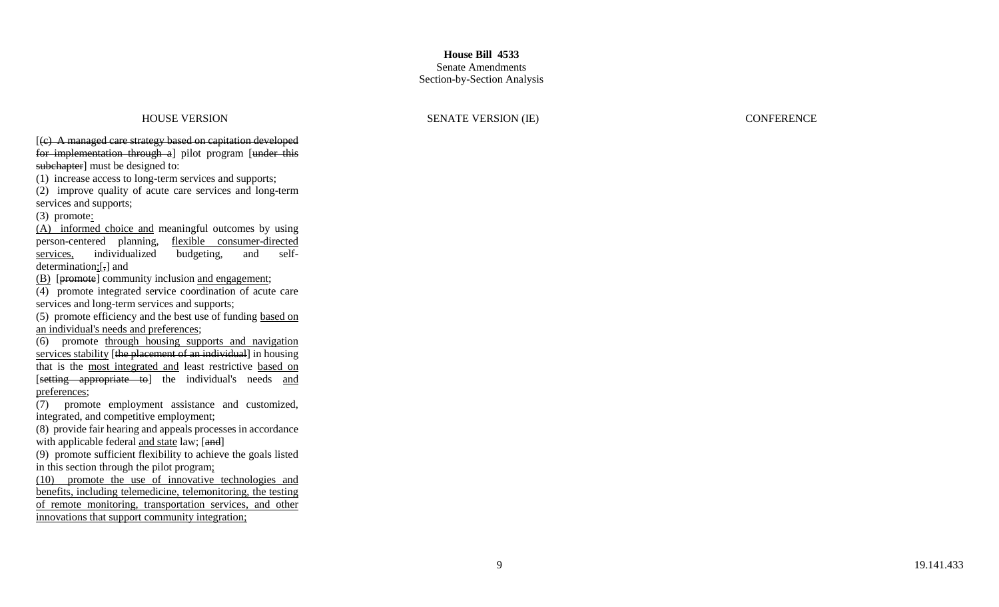### Senate Amendments Section -by -Section Analysis

### HOUSE VERSION SENATE VERSION (IE) CONFERENCE

[(c) A managed care strategy based on capitation developed for implementation through a] pilot program [under this subchapter] must be designed to:

(1) increase access to long -term services and supports;

(2) improve quality of acute care services and long -term services and supports;

 $(3)$  promote:

(A) informed choice and meaningful outcomes by using person -centered planning, flexible consumer -directed services, individualized budgeting, and selfdetermination;[,] and

(B) [promote] community inclusion and engagement;

(4) promote integrated service coordination of acute care services and long -term services and supports;

(5) promote efficiency and the best use of funding based on an individual's needs and preferences;

(6) promote through housing supports and navigation services stability [the placement of an individual] in housing that is the most integrated and least restrictive based on [setting appropriate to] the individual's needs and preferences ;

(7) promote employment assistance and customized, integrated, and competitive employment;

(8) provide fair hearing and appeals processes in accordance with applicable federal and state law; [and]

(9) promote sufficient flexibility to achieve the goals listed in this section through the pilot program;

(10) promote the use of innovative technologies and benefits, including telemedicine, telemonitoring, the testing of remote monitoring, transportation services, and other innovations that support community integration;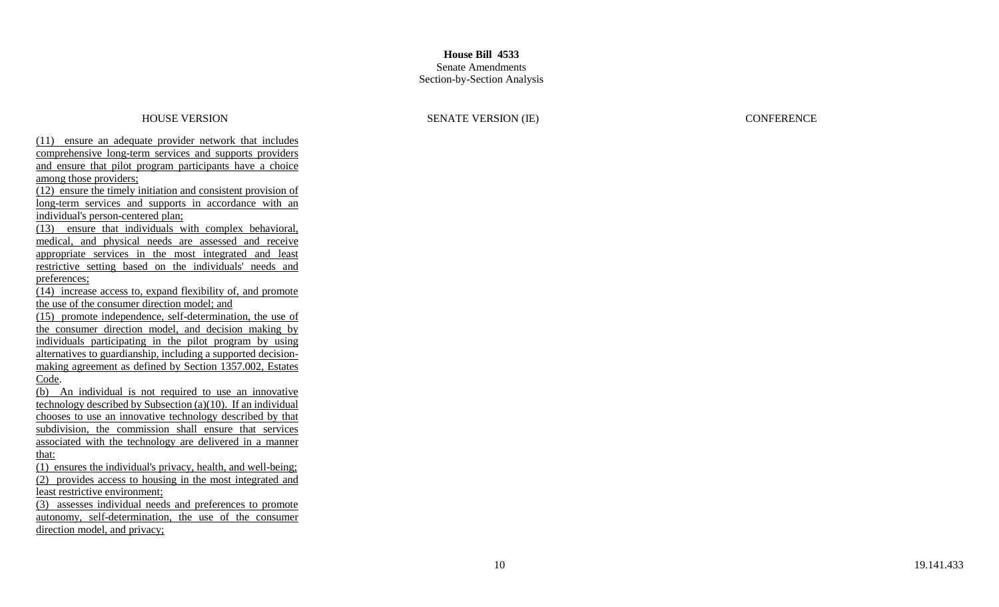### Senate Amendments Section -by -Section Analysis

HOUSE VERSION SENATE VERSION (IE) CONFERENCE

(11) ensure an adequate provider network that includes comprehensive long -term services and supports providers and ensure that pilot program participants have a choice among those providers;

(12) ensure the timely initiation and consistent provision of long-term services and supports in accordance with an individual's person -centered plan;

(13) ensure that individuals with complex behavioral, medical, and physical needs are assessed and receive appropriate services in the most integrated and least restrictive setting based on the individuals' needs and preferences;

(14) increase access to, expand flexibility of, and promote the use of the consumer direction model; and

(15) promote independence, self -determination, the use of the consumer direction model, and decision making by individuals participating in the pilot program by using alternatives to guardianship, including a supported decision making agreement as defined by Section 1357.002, Estates Code.

(b) An individual is not required to use an innovative technology described by Subsection (a)(10). If an individual chooses to use an innovative technology described by that subdivision, the commission shall ensure that services associated with the technology are delivered in a manner that:

(1) ensures the individual's privacy, health, and well -being; (2) provides access to housing in the most integrated and least restrictive environment;

(3) assesses individual needs and preferences to promote autonomy, self-determination, the use of the consumer direction model, and privacy;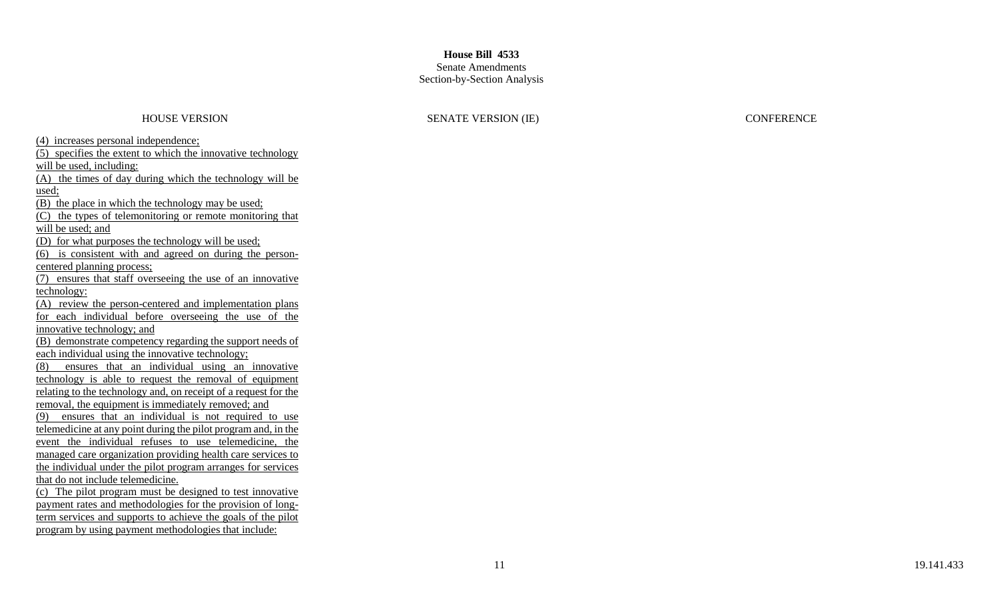### Senate Amendments Section -by -Section Analysis

### HOUSE VERSION SENATE VERSION (IE) CONFERENCE

(4) increases personal independence; (5) specifies the extent to which the innovative technology will be used, including:  $(A)$  the times of day during which the technology will be used; (B) the place in which the technology may be used; (C) the types of telemonitoring or remote monitoring that will be used; and (D) for what purposes the technology will be used; (6) is consistent with and agreed on during the person centered planning process;  $(7)$  ensures that staff overseeing the use of an innovative technology: (A) review the person -centered and implementation plans for each individual before overseeing the use of the innovative technology; and (B) demonstrate competency regarding the support needs of each individual using the innovative technology;  $(8)$  ensures that an individual using an innovative technology is able to request the removal of equipment relating to the technology and, on receipt of a request for the removal, the equipment is immediately removed; and (9) ensures that an individual is not required to use telemedicine at any point during the pilot program and, in the event the individual refuses to use telemedicine, the managed care organization providing health care services to the individual under the pilot program arranges for services that do not include telemedicine. (c) The pilot program must be designed to test innovative payment rates and methodologies for the provision of long term services and supports to achieve the goals of the pilot program by using payment methodologies that include: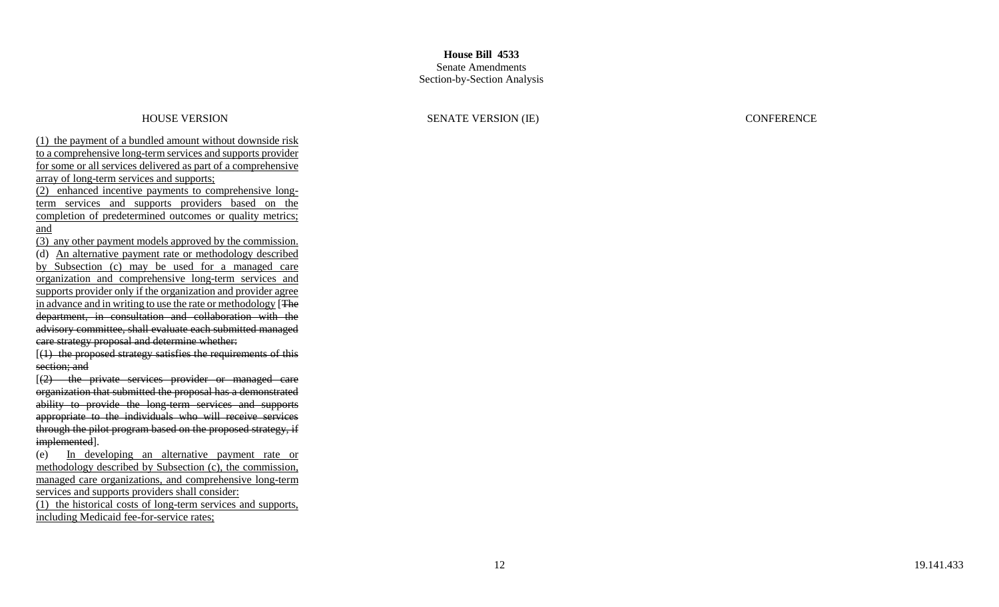### Senate Amendments Section -by -Section Analysis

HOUSE VERSION SENATE VERSION (IE) CONFERENCE

(1) the payment of a bundled amount without downside risk to a comprehensive long -term services and supports provider for some or all services delivered as part of a comprehensive array of long -term services and supports; (2) enhanced incentive payments to comprehensive long term services and supports providers based on the completion of predetermined outcomes or quality metrics;

### and

(3) any other payment models approved by the commission. (d) An alternative payment rate or methodology described by Subsection (c) may be used for a managed care organization and comprehensive long -term services and supports provider only if the organization and provider agree in advance and in writing to use the rate or methodology [The department, in consultation and collaboration with the advisory committee, shall evaluate each submitted managed care strategy proposal and determine whether:

 $[$ (1) the proposed strategy satisfies the requirements of this section; and

[(2) the private services provider or managed care organization that submitted the proposal has a demonstrated ability to provide the long-term services and supports appropriate to the individuals who will receive services through the pilot program based on the proposed strategy, if implemented].

(e) In developing an alternative payment rate or methodology described by Subsection (c), the commission, managed care organizations, and comprehensive long-term services and supports providers shall consider:

(1) the historical costs of long -term services and supports, including Medicaid fee -for -service rates;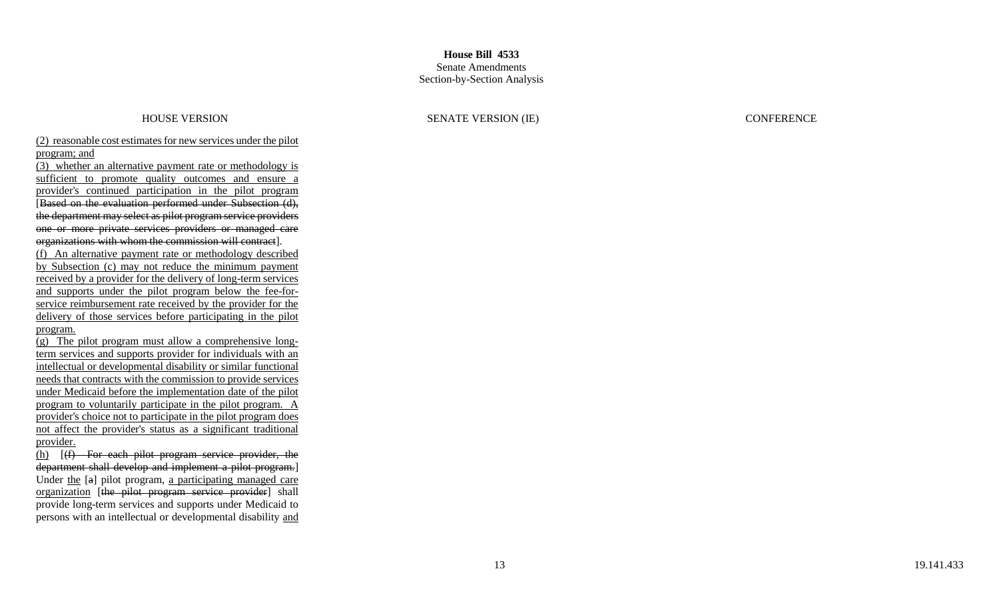## **House Bill 4533** Senate Amendments

# Section -by -Section Analysis

### HOUSE VERSION SENATE VERSION (IE) CONFERENCE

## (2) reasonable cost estimates for new services under the pilot program; and

(3) whether an alternative payment rate or methodology is sufficient to promote quality outcomes and ensure a provider's continued participation in the pilot program [Based on the evaluation performed under Subsection (d), the department may select as pilot program service providers one or more private services providers or managed care organizations with whom the commission will contract].

(f) An alternative payment rate or methodology described by Subsection (c) may not reduce the minimum payment received by a provider for the delivery of long-term services and supports under the pilot program below the fee-forservice reimbursement rate received by the provider for the delivery of those services before participating in the pilot program.

(g) The pilot program must allow a comprehensive long term services and supports provider for individuals with an intellectual or developmental disability or similar functional needs that contracts with the commission to provide services under Medicaid before the implementation date of the pilot program to voluntarily participate in the pilot program. A provider's choice not to participate in the pilot program does not affect the provider's status as a significant traditional provider.

(h) [(f) For each pilot program service provider, the department shall develop and implement a pilot program.] Under the [a] pilot program, a participating managed care organization [the pilot program service provider] shall provide long -term services and supports under Medicaid to persons with an intellectual or developmental disability and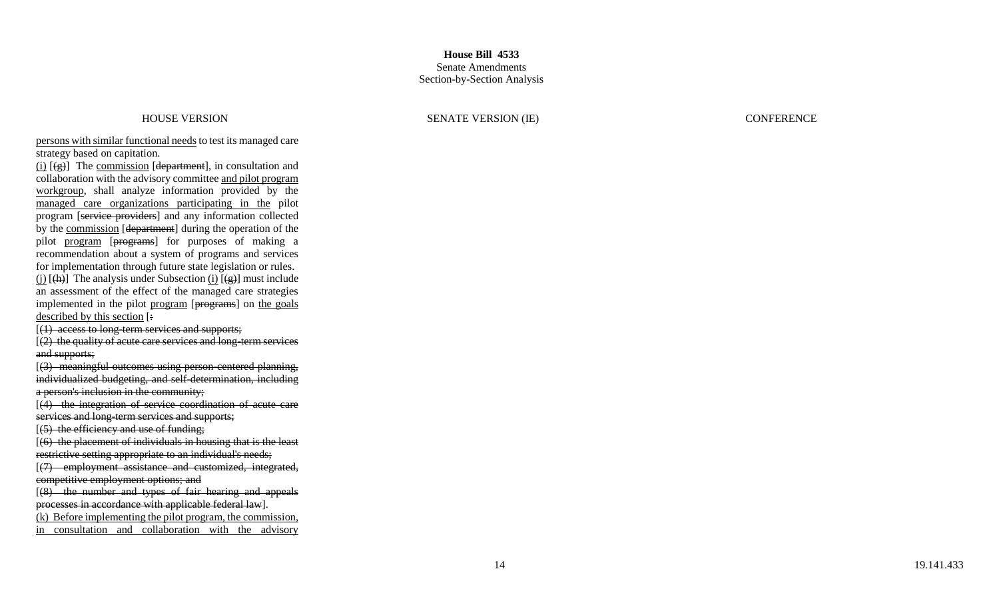### HOUSE VERSION SENATE VERSION (IE) CONFERENCE

persons with similar functional needs to test its managed care strategy based on capitation.

 $(i)$   $[(g)]$  The commission [department], in consultation and collaboration with the advisory committee and pilot program workgroup, shall analyze information provided by the managed care organizations participating in the pilot program [service providers] and any information collected by the commission [department] during the operation of the pilot program [programs] for purposes of making a recommendation about a system of programs and services for implementation through future state legislation or rules.  $(i)$  [ $(h)$ ] The analysis under Subsection  $(i)$  [ $(g)$ ] must include an assessment of the effect of the managed care strategies implemented in the pilot program [programs] on the goals described by this section [:

[(1) access to long -term services and supports;

[(2) the quality of acute care services and long -term services and supports;

[(3) meaningful outcomes using person -centered planning, individualized budgeting, and self -determination, including a person's inclusion in the community;

 $[(4)$  the integration of service coordination of acute care services and long-term services and supports;

 $(5)$  the efficiency and use of funding;

 $(6)$  the placement of individuals in housing that is the least

restrictive setting appropriate to an individual's needs;

[(7) employment assistance and customized, integrated, competitive employment options; and

[(8) the number and types of fair hearing and appeals processes in accordance with applicable federal law].

(k) Before implementing the pilot program, the commission,

in consultation and collaboration with the advisory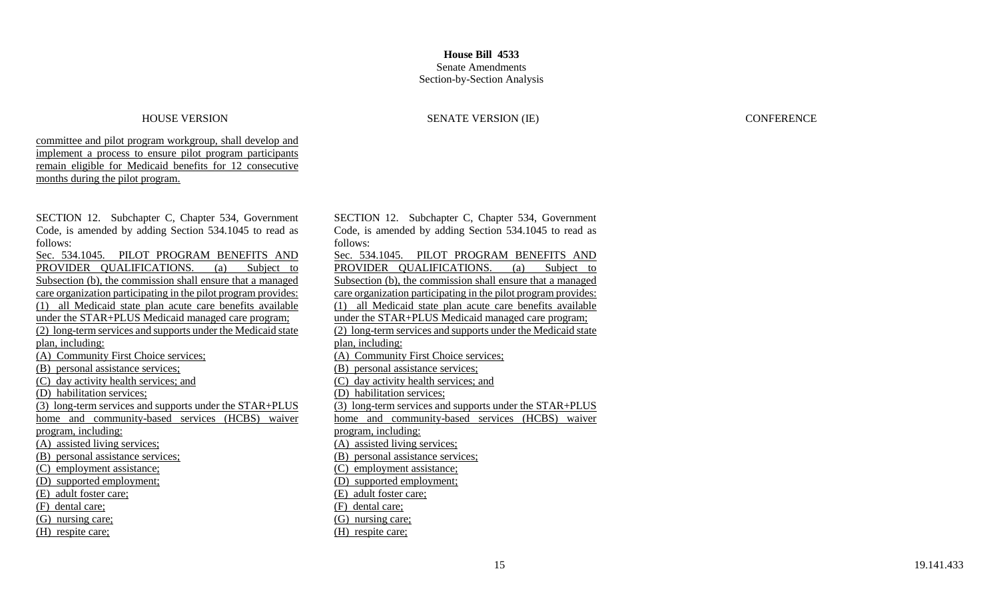# Section-by-Section Analysis

### HOUSE VERSION SENATE VERSION (IE) CONFERENCE

### committee and pilot program workgroup, shall develop and implement a process to ensure pilot program participants remain eligible for Medicaid benefits for 12 consecutive months during the pilot program.

| SECTION 12. Subchapter C, Chapter 534, Government              |
|----------------------------------------------------------------|
| Code, is amended by adding Section 534.1045 to read as         |
| follows:                                                       |
| Sec. 534.1045. PILOT PROGRAM BENEFITS AND                      |
| PROVIDER QUALIFICATIONS. (a)<br>Subject to                     |
| Subsection (b), the commission shall ensure that a managed     |
| care organization participating in the pilot program provides: |
| (1) all Medicaid state plan acute care benefits available      |
| under the STAR+PLUS Medicaid managed care program;             |
| (2) long-term services and supports under the Medicaid state   |
| plan, including:                                               |
| (A) Community First Choice services:                           |
| (B) personal assistance services;                              |
| (C) day activity health services; and                          |
| (D) habilitation services;                                     |
| (3) long-term services and supports under the STAR+PLUS        |
| home and community-based services (HCBS)<br>waiver             |
| program, including:                                            |
| (A) assisted living services;                                  |
| (B) personal assistance services;                              |
| (C) employment assistance;                                     |
| (D) supported employment;                                      |
| (E) adult foster care;                                         |
| (F) dental care;                                               |
| (G) nursing care;                                              |
| (H) respite care;                                              |

SECTION 12. Subchapter C, Chapter 534, Government Code, is amended by adding Section 534.1045 to read as follows: Sec. 534.1045. PILOT PROGRAM BENEFITS AND<br>PROVIDER OUALIFICATIONS. (a) Subject to PROVIDER QUALIFICATIONS. (a) Subsection (b), the commission shall ensure that a managed care organization participating in the pilot program provides: (1) all Medicaid state plan acute care benefits available under the STAR+PLUS Medicaid managed care program; (2) long-term services and supports under the Medicaid state plan, including: (A) Community First Choice services; (B) personal assistance services; (C) day activity health services; and (D) habilitation services; (3) long-term services and supports under the STAR+PLUS home and community-based services (HCBS) waiver program, including: (A) assisted living services; (B) personal assistance services; (C) employment assistance; (D) supported employment; (E) adult foster care; (F) dental care; (G) nursing care; (H) respite care;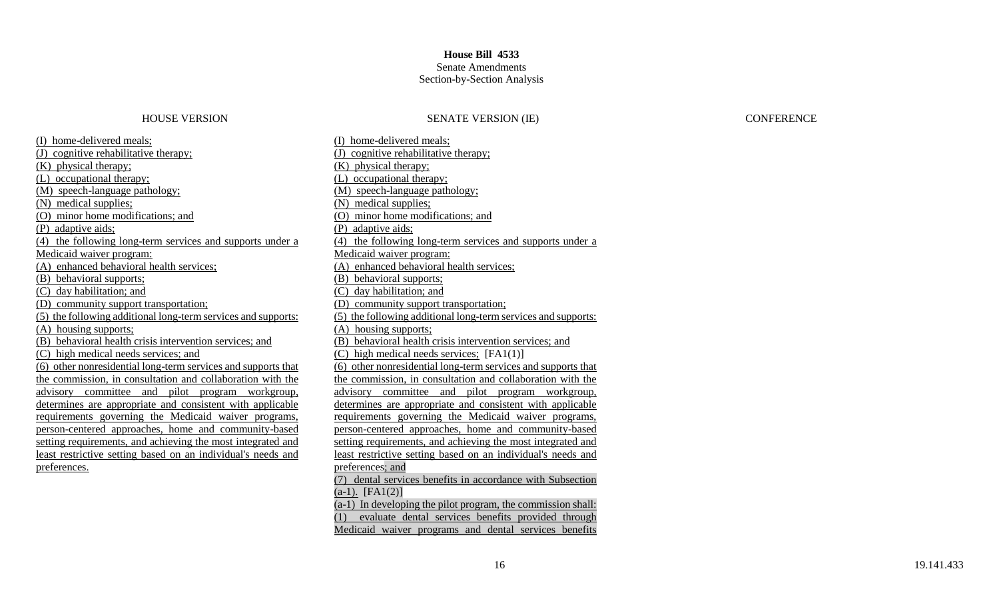### Senate Amendments Section-by-Section Analysis

### HOUSE VERSION SENATE VERSION (IE) CONFERENCE

(I) home-delivered meals; (J) cognitive rehabilitative therapy; (K) physical therapy; (L) occupational therapy; (M) speech-language pathology; (N) medical supplies; (O) minor home modifications; and (P) adaptive aids; (4) the following long-term services and supports under a Medicaid waiver program: (A) enhanced behavioral health services; (B) behavioral supports; (C) day habilitation; and (D) community support transportation; (5) the following additional long-term services and supports: (A) housing supports; (B) behavioral health crisis intervention services; and (C) high medical needs services; and (6) other nonresidential long-term services and supports that the commission, in consultation and collaboration with the advisory committee and pilot program workgroup, determines are appropriate and consistent with applicable requirements governing the Medicaid waiver programs, person-centered approaches, home and community-based setting requirements, and achieving the most integrated and least restrictive setting based on an individual's needs and preferences.

(I) home-delivered meals; (J) cognitive rehabilitative therapy; (K) physical therapy; (L) occupational therapy; (M) speech-language pathology; (N) medical supplies; (O) minor home modifications; and (P) adaptive aids; (4) the following long-term services and supports under a Medicaid waiver program: (A) enhanced behavioral health services; (B) behavioral supports; (C) day habilitation; and (D) community support transportation; (5) the following additional long-term services and supports: (A) housing supports; (B) behavioral health crisis intervention services; and (C) high medical needs services; [FA1(1)] (6) other nonresidential long-term services and supports that the commission, in consultation and collaboration with the advisory committee and pilot program workgroup, determines are appropriate and consistent with applicable requirements governing the Medicaid waiver programs, person-centered approaches, home and community-based setting requirements, and achieving the most integrated and least restrictive setting based on an individual's needs and preferences; and (7) dental services benefits in accordance with Subsection  $(a-1)$ . [FA1(2)] (a-1) In developing the pilot program, the commission shall: (1) evaluate dental services benefits provided through Medicaid waiver programs and dental services benefits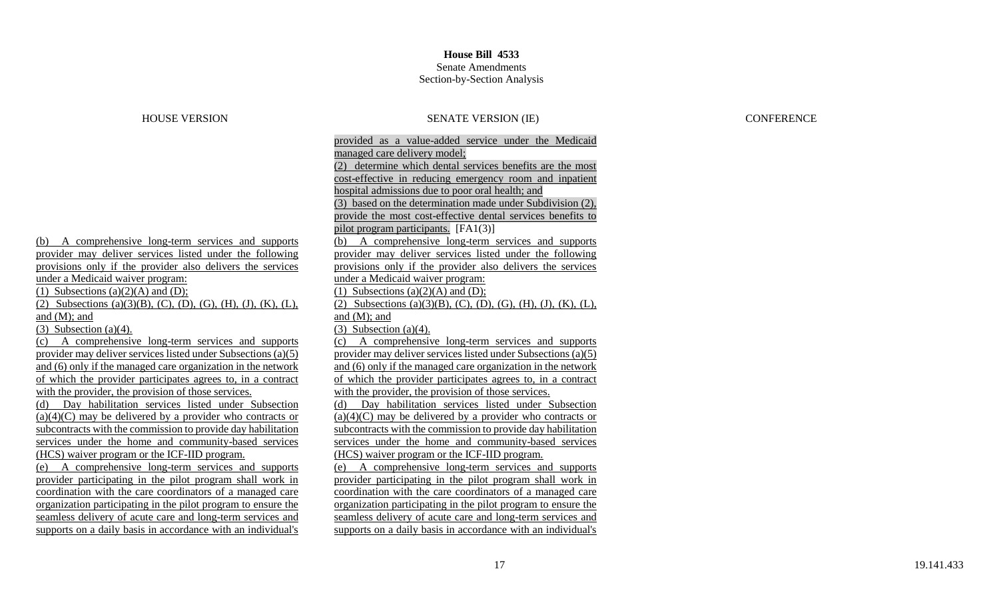## Senate Amendments Section-by-Section Analysis

| <b>HOUSE VERSION</b>                                          | <b>SENATE VERSION (IE)</b>                                    |  |  |
|---------------------------------------------------------------|---------------------------------------------------------------|--|--|
|                                                               | provided as a value-added service under the Medicaid          |  |  |
|                                                               | managed care delivery model;                                  |  |  |
|                                                               | (2) determine which dental services benefits are the most     |  |  |
|                                                               | cost-effective in reducing emergency room and inpatient       |  |  |
|                                                               | hospital admissions due to poor oral health; and              |  |  |
|                                                               | (3) based on the determination made under Subdivision (2),    |  |  |
|                                                               | provide the most cost-effective dental services benefits to   |  |  |
|                                                               | pilot program participants. [FA1(3)]                          |  |  |
| (b) A comprehensive long-term services and supports           | A comprehensive long-term services and supports<br>(b)        |  |  |
| provider may deliver services listed under the following      | provider may deliver services listed under the following      |  |  |
| provisions only if the provider also delivers the services    | provisions only if the provider also delivers the services    |  |  |
| under a Medicaid waiver program:                              | under a Medicaid waiver program:                              |  |  |
| (1) Subsections (a) $(2)(A)$ and (D);                         | (1) Subsections (a) $(2)(A)$ and (D);                         |  |  |
| (2) Subsections (a)(3)(B), (C), (D), (G), (H), (J), (K), (L), | (2) Subsections (a)(3)(B), (C), (D), (G), (H), (J), (K), (L), |  |  |
| and $(M)$ ; and                                               | and $(M)$ ; and                                               |  |  |
| $(3)$ Subsection $(a)(4)$ .                                   | $(3)$ Subsection $(a)(4)$ .                                   |  |  |
| A comprehensive long-term services and supports<br>(c)        | A comprehensive long-term services and supports<br>(c)        |  |  |
| provider may deliver services listed under Subsections (a)(5) | provider may deliver services listed under Subsections (a)(5) |  |  |
| and (6) only if the managed care organization in the network  | and (6) only if the managed care organization in the network  |  |  |
| of which the provider participates agrees to, in a contract   | of which the provider participates agrees to, in a contract   |  |  |
| with the provider, the provision of those services.           | with the provider, the provision of those services.           |  |  |
| Day habilitation services listed under Subsection<br>(d)      | Day habilitation services listed under Subsection<br>(d)      |  |  |
| $(a)(4)(C)$ may be delivered by a provider who contracts or   | $(a)(4)(C)$ may be delivered by a provider who contracts or   |  |  |
| subcontracts with the commission to provide day habilitation  | subcontracts with the commission to provide day habilitation  |  |  |
| services under the home and community-based services          | services under the home and community-based services          |  |  |
| (HCS) waiver program or the ICF-IID program.                  | (HCS) waiver program or the ICF-IID program.                  |  |  |
| A comprehensive long-term services and supports<br>(e)        | A comprehensive long-term services and supports<br>(e)        |  |  |
| provider participating in the pilot program shall work in     | provider participating in the pilot program shall work in     |  |  |
| coordination with the care coordinators of a managed care     | coordination with the care coordinators of a managed care     |  |  |
| organization participating in the pilot program to ensure the | organization participating in the pilot program to ensure the |  |  |
| seamless delivery of acute care and long-term services and    | seamless delivery of acute care and long-term services and    |  |  |
| supports on a daily basis in accordance with an individual's  | supports on a daily basis in accordance with an individual's  |  |  |

## CONFERENCE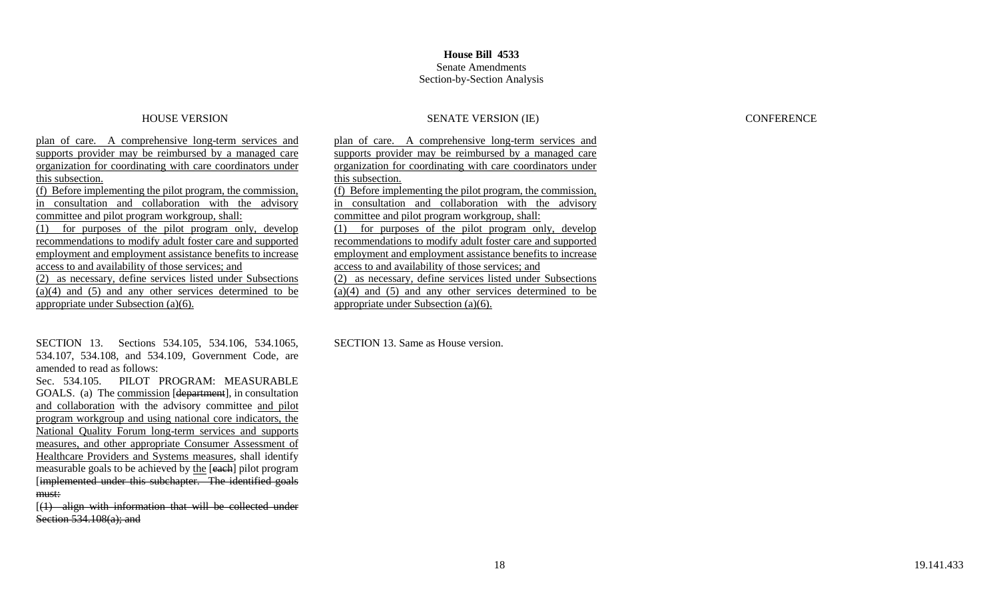### HOUSE VERSION SENATE VERSION (IE) CONFERENCE

plan of care. A comprehensive long-term services and supports provider may be reimbursed by a managed care organization for coordinating with care coordinators under this subsection. (f) Before implementing the pilot program, the commission, in consultation and collaboration with the advisory committee and pilot program workgroup, shall: (1) for purposes of the pilot program only, develop recommendations to modify adult foster care and supported employment and employment assistance benefits to increase access to and availability of those services; and (2) as necessary, define services listed under Subsections (a)(4) and (5) and any other services determined to be appropriate under Subsection (a)(6).

SECTION 13. Sections 534.105, 534.106, 534.1065, 534.107, 534.108, and 534.109, Government Code, are amended to read as follows:

Sec. 534.105. PILOT PROGRAM: MEASURABLE GOALS. (a) The commission [department], in consultation and collaboration with the advisory committee and pilot program workgroup and using national core indicators, the National Quality Forum long-term services and supports measures, and other appropriate Consumer Assessment of Healthcare Providers and Systems measures, shall identify measurable goals to be achieved by the [each] pilot program [implemented under this subchapter. The identified goals must:

[(1) align with information that will be collected under Section 534.108(a); and

plan of care. A comprehensive long-term services and supports provider may be reimbursed by a managed care organization for coordinating with care coordinators under this subsection. (f) Before implementing the pilot program, the commission, in consultation and collaboration with the advisory committee and pilot program workgroup, shall: (1) for purposes of the pilot program only, develop recommendations to modify adult foster care and supported employment and employment assistance benefits to increase access to and availability of those services; and (2) as necessary, define services listed under Subsections (a)(4) and (5) and any other services determined to be appropriate under Subsection (a)(6).

SECTION 13. Same as House version.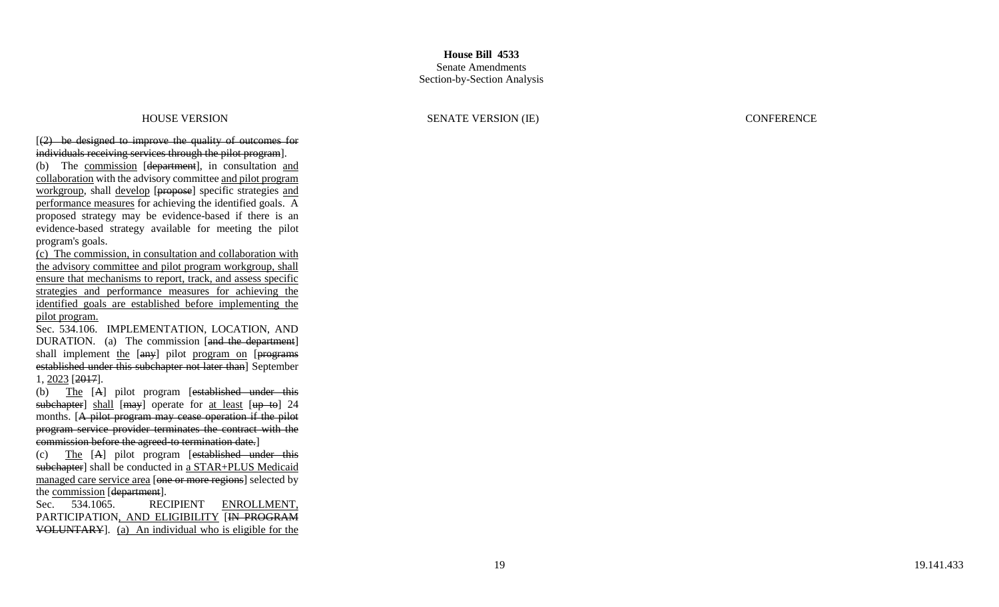$(2)$  be designed to improve the quality of outcomes for individuals receiving services through the pilot program].

(b) The commission [department], in consultation and collaboration with the advisory committee and pilot program workgroup, shall develop [propose] specific strategies and performance measures for achieving the identified goals. A proposed strategy may be evidence -based if there is an evidence -based strategy available for meeting the pilot program's goals.

(c) The commission, in consultation and collaboration with the advisory committee and pilot program workgroup, shall ensure that mechanisms to report, track, and assess specific strategies and performance measures for achieving the identified goals are established before implementing the pilot program.

Sec. 534.106. IMPLEMENTATION, LOCATION, AND DURATION. (a) The commission [and the department] shall implement the [any] pilot program on [programs established under this subchapter not later than] September 1, 2023 [2017].

(b) The [A] pilot program [established under this subchapter] shall [may] operate for at least [up to] 24 months. [A pilot program may cease operation if the pilot program service provider terminates the contract with the commission before the agreed to termination date.]

(c) The [ A] pilot program [established under this subchapter] shall be conducted in a STAR+PLUS Medicaid managed care service area [one or more regions] selected by the commission [department].

Sec. 534.1065. RECIPIENT ENROLLMENT, PARTICIPATION, AND ELIGIBILITY [IN PROGRAM VOLUNTARY]. (a) An individual who is eligible for the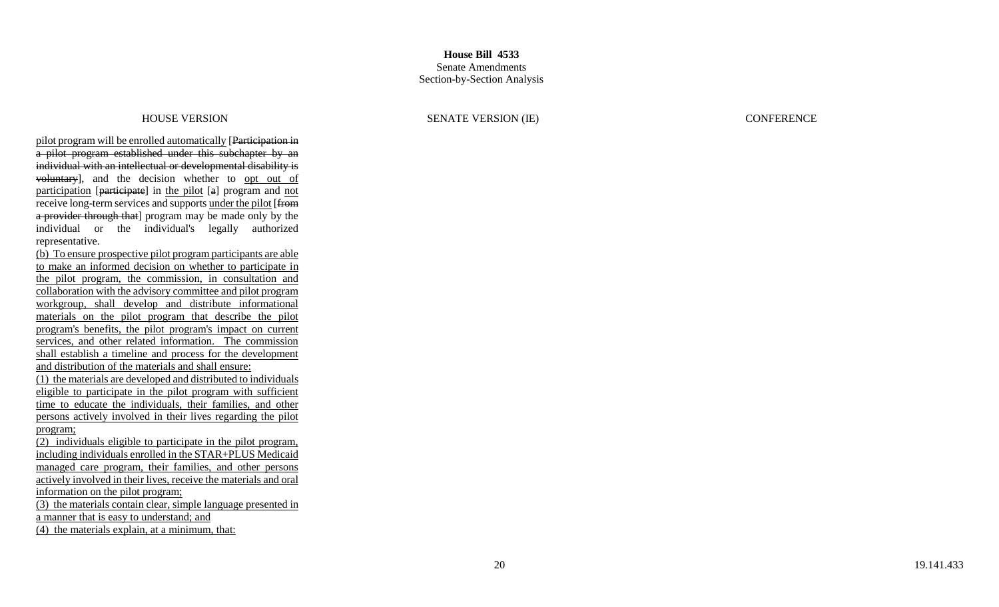pilot program will be enrolled automatically [Participation in a pilot program established under this subchapter by an individual with an intellectual or developmental disability is voluntary], and the decision whether to opt out of participation [participate] in the pilot [a] program and not receive long-term services and supports under the pilot [from a provider through that] program may be made only by the individual or the individual's legally authorized representative.

(b) To ensure prospective pilot program participants are able to make an informed decision on whether to participate in the pilot program, the commission, in consultation and collaboration with the advisory committee and pilot program workgroup, shall develop and distribute informational materials on the pilot program that describe the pilot program's benefits, the pilot program's impact on current services, and other related information. The commission shall establish a timeline and process for the development and distribution of the materials and shall ensure: (1) the materials are developed and distributed to individuals eligible to participate in the pilot program with sufficient time to educate the individuals, their families, and other persons actively involved in their lives regarding the pilot program;

(2) individuals eligible to participate in the pilot program, including individuals enrolled in the STAR+PLUS Medicaid managed care program, their families, and other persons actively involved in their lives, receive the materials and oral information on the pilot program; (3) the materials contain clear, simple language presented in

a manner that is easy to understand; and

(4) the materials explain, at a minimum, that: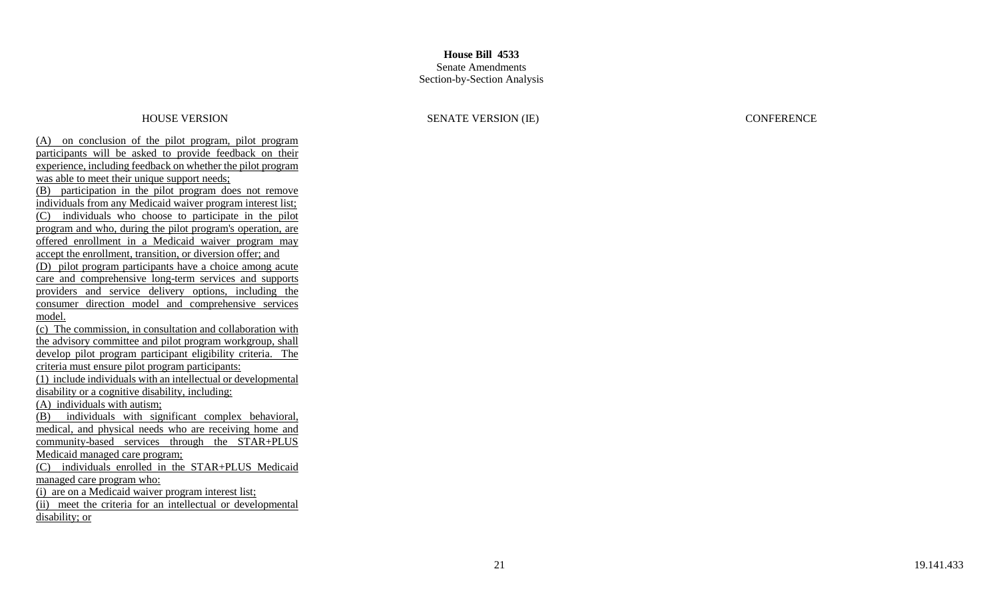HOUSE VERSION SENATE VERSION (IE) CONFERENCE

(A) on conclusion of the pilot program, pilot program participants will be asked to provide feedback on their experience, including feedback on whether the pilot program was able to meet their unique support needs; (B) participation in the pilot program does not remove individuals from any Medicaid waiver program interest list; (C) individuals who choose to participate in the pilot program and who, during the pilot program's operation, are offered enrollment in a Medicaid waiver program may accept the enrollment, transition, or diversion offer; and (D) pilot program participants have a choice among acute care and comprehensive long -term services and supports providers and service delivery options, including the consumer direction model and comprehensive services model.

(c) The commission, in consultation and collaboration with the advisory committee and pilot program workgroup, shall develop pilot program participant eligibility criteria. The criteria must ensure pilot program participants: (1) include individuals with an intellectual or developmental disability or a cognitive disability, including: (A) individuals with autism; (B) individuals with significant complex behavioral, medical, and physical needs who are receiving home and community -based services through the STAR+PLUS Medicaid managed care program; (C) individuals enrolled in the STAR+PLUS Medicaid managed care program who: (i) are on a Medicaid waiver program interest list;

(ii) meet the criteria for an intellectual or developmental disability; or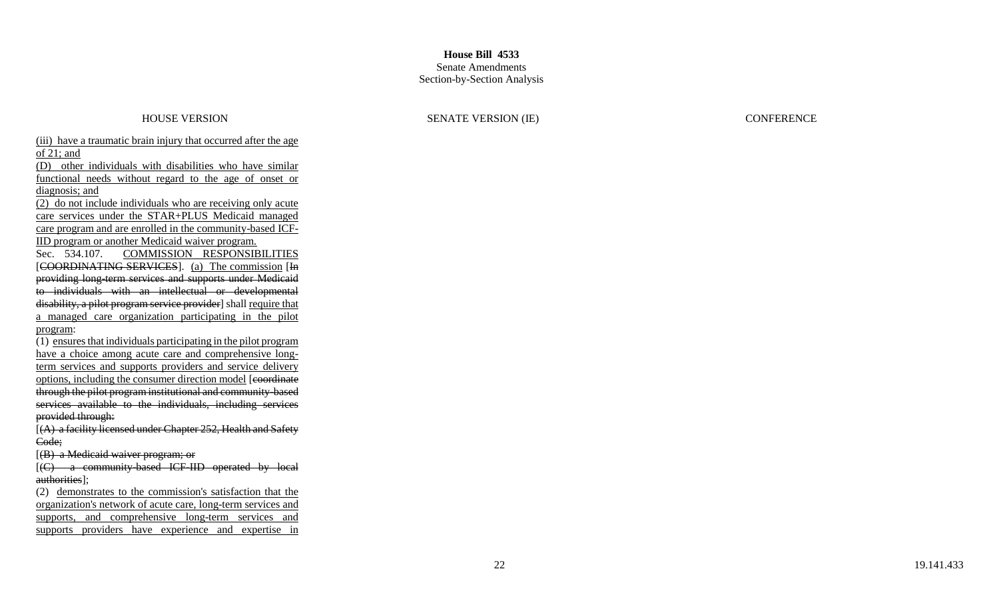### Senate Amendments Section -by -Section Analysis

HOUSE VERSION SENATE VERSION (IE) CONFERENCE

(iii) have a traumatic brain injury that occurred after the age of 21; and

(D) other individuals with disabilities who have similar functional needs without regard to the age of onset or diagnosis; and

(2) do not include individuals who are receiving only acute care services under the STAR+PLUS Medicaid managed care program and are enrolled in the community-based ICF-IID program or another Medicaid waiver program.

Sec. 534.107. COMMISSION RESPONSIBILITIES [COORDINATING SERVICES]. (a) The commission [In providing long -term services and supports under Medicaid to individuals with an intellectual or developmental disability, a pilot program service provider] shall require that a managed care organization participating in the pilot program :

(1) ensures that individuals participating in the pilot program have a choice among acute care and comprehensive longterm services and supports providers and service delivery options, including the consumer direction model [coordinate through the pilot program institutional and community -based services available to the individuals, including services provided through:

 $[(A)$  a facility licensed under Chapter 252, Health and Safety Code;

[(B) a Medicaid waiver program; or

[(C) a community-based ICF-IID operated by local authorities];

(2) demonstrates to the commission's satisfaction that the organization's network of acute care, long -term services and supports, and comprehensive long-term services and supports providers have experience and expertise in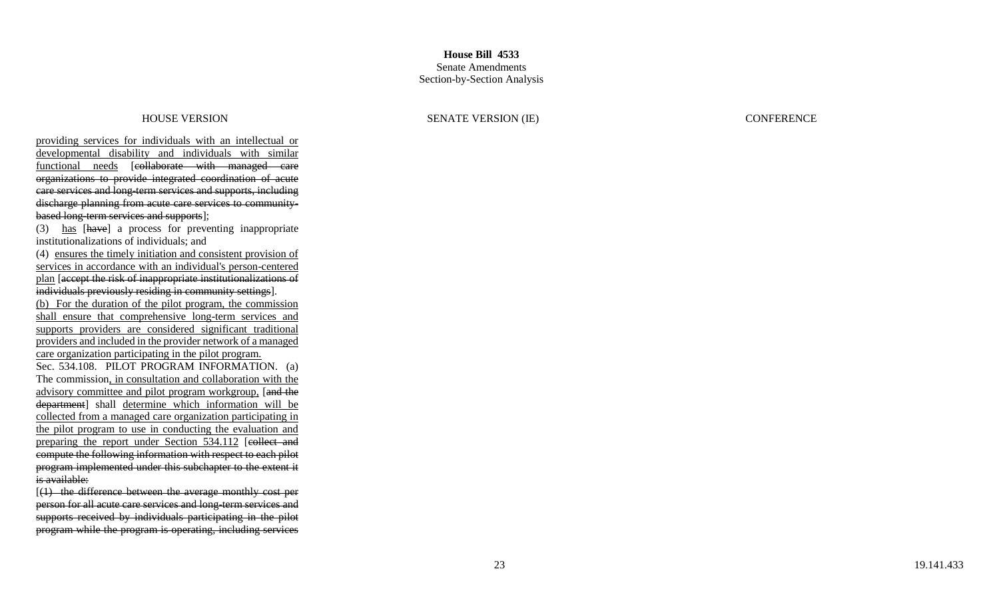providing services for individuals with an intellectual or developmental disability and individuals with similar functional needs [collaborate with managed care organizations to provide integrated coordination of acute care services and long -term services and supports, including discharge planning from acute care services to community based long -term services and supports];

(3) has [have] a process for preventing inappropriate institutionalizations of individuals; and

(4) ensures the timely initiation and consistent provision of services in accordance with an individual's person-centered plan [accept the risk of inappropriate institutionalizations of individuals previously residing in community settings]. (b) For the duration of the pilot program, the commission shall ensure that comprehensive long-term services and supports providers are considered significant traditional providers and included in the provider network of a managed care organization participating in the pilot program. Sec. 534.108. PILOT PROGRAM INFORMATION. (a) The commission, in consultation and collaboration with the advisory committee and pilot program workgroup. [and the department] shall determine which information will be

collected from a managed care organization participating in the pilot program to use in conducting the evaluation and preparing the report under Section 534.112 [eollect and compute the following information with respect to each pilot program implemented under this subchapter to the extent it is available:

 $[(1)$  the difference between the average monthly cost per person for all acute care services and long -term services and supports received by individuals participating in the pilot program while the program is operating, including services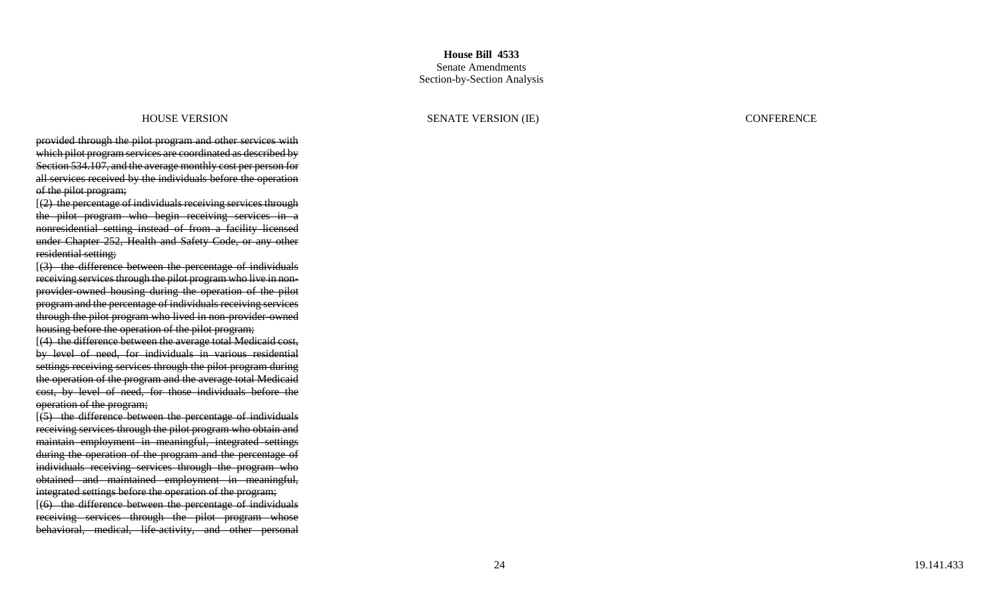provided through the pilot program and other services with which pilot program services are coordinated as described by Section 534.107, and the average monthly cost per person for all services received by the individuals before the operation of the pilot program;

[(2) the percentage of individuals receiving services through the pilot program who begin receiving services in a nonresidential setting instead of from a facility licensed under Chapter 252, Health and Safety Code, or any other residential setting;

[(3) the difference between the percentage of individuals receiving services through the pilot program who live in non provider -owned housing during the operation of the pilot program and the percentage of individuals receiving services through the pilot program who lived in non-provider-owned housing before the operation of the pilot program;

[(4) the difference between the average total Medicaid cost, by level of need, for individuals in various residential settings receiving services through the pilot program during the operation of the program and the average total Medicaid cost, by level of need, for those individuals before the operation of the program;

 $[5]$  the difference between the percentage of individuals receiving services through the pilot program who obtain and maintain employment in meaningful, integrated settings during the operation of the program and the percentage of individuals receiving services through the program who obtained and maintained employment in meaningful, integrated settings before the operation of the program;

[(6) the difference between the percentage of individuals receiving services through the pilot program whose behavioral, medical, life -activity, and other personal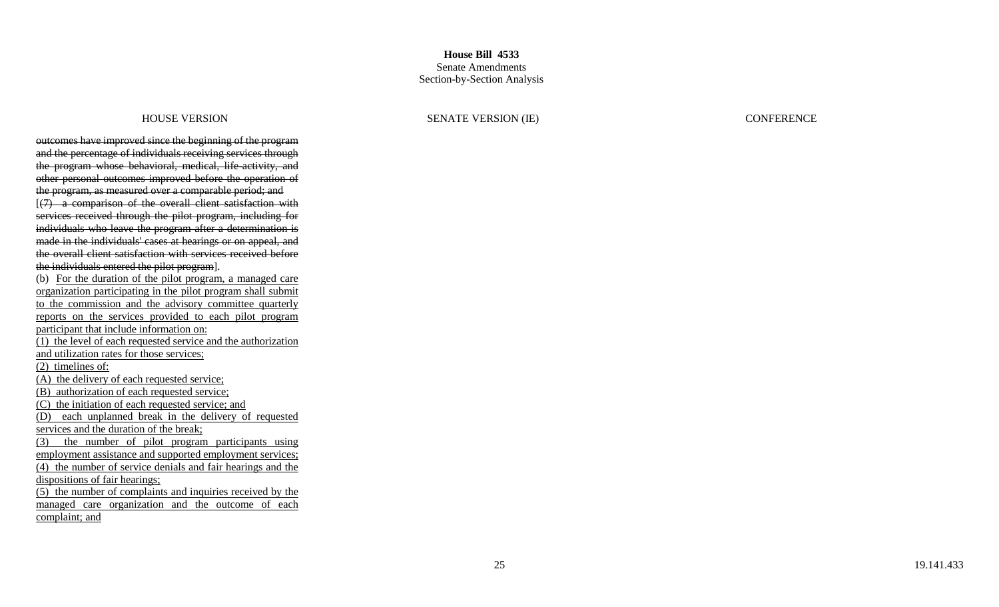outcomes have improved since the beginning of the program and the percentage of individuals receiving services through the program whose behavioral, medical, life -activity, and other personal outcomes improved before the operation of the program, as measured over a comparable period; and [(7) a comparison of the overall client satisfaction with services received through the pilot program, including for individuals who leave the program after a determination is made in the individuals' cases at hearings or on appeal, and the overall client satisfaction with services received before the individuals entered the pilot program]. (b) For the duration of the pilot program, a managed care organization participating in the pilot program shall submit to the commission and the advisory committee quarterly

reports on the services provided to each pilot program participant that include information on: (1) the level of each requested service and the authorization

and utilization rates for those services;

(2) timelines of:

(A) the delivery of each requested service;

(B) authorization of each requested service;

(C) the initiation of each requested service; and

(D) each unplanned break in the delivery of requested services and the duration of the break;

(3) the number of pilot program participants using

employment assistance and supported employment services;

(4) the number of service denials and fair hearings and the dispositions of fair hearings;

(5) the number of complaints and inquiries received by the managed care organization and the outcome of each complaint; and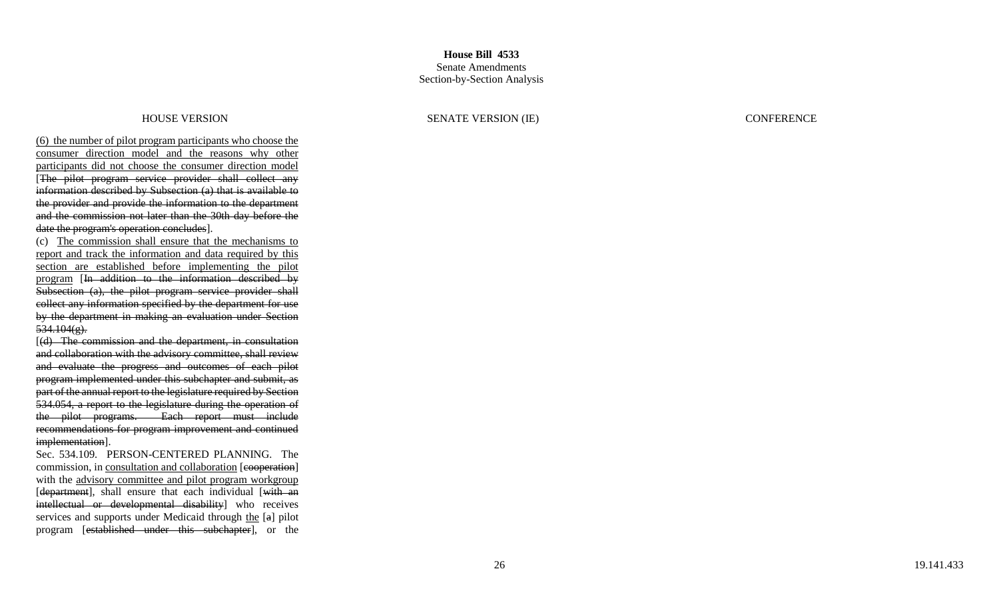(6) the number of pilot program participants who choose the consumer direction model and the reasons why other participants did not choose the consumer direction model [The pilot program service provider shall collect any information described by Subsection (a) that is available to the provider and provide the information to the department and the commission not later than the 30th day before the date the program's operation concludes].

(c) The commission shall ensure that the mechanisms to report and track the information and data required by this section are established before implementing the pilot program [In addition to the information described by Subsection (a), the pilot program service provider shall collect any information specified by the department for use by the department in making an evaluation under Section  $534.104(g)$ .

[(d) The commission and the department, in consultation and collaboration with the advisory committee, shall review and evaluate the progress and outcomes of each pilot program implemented under this subchapter and submit, as part of the annual report to the legislature required by Section 534.054, a report to the legislature during the operation of the pilot programs. Each report must include recommendations for program improvement and continued implementation].

Sec. 534.109. PERSON -CENTERED PLANNING. The commission, in consultation and collaboration [eooperation] with the advisory committee and pilot program workgroup [department], shall ensure that each individual [with an intellectual or developmental disability] who receives services and supports under Medicaid through the [a] pilot program [established under this subchapter], or the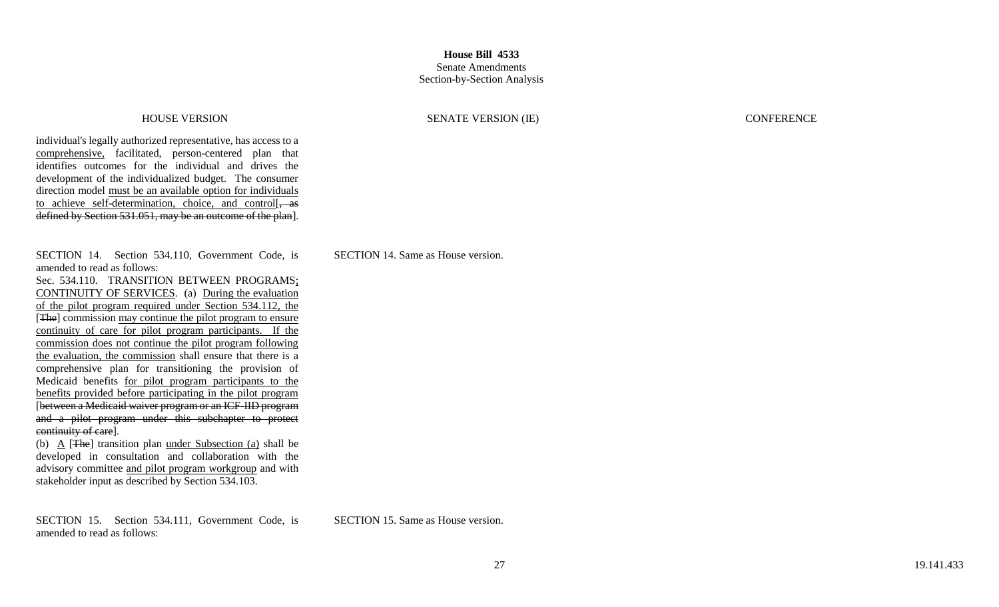HOUSE VERSION SENATE VERSION (IE) CONFERENCE

individual's legally authorized representative, has access to a comprehensive, facilitated, person-centered plan that identifies outcomes for the individual and drives the development of the individualized budget. The consumer direction model must be an available option for individuals to achieve self-determination, choice, and control defined by Section 531.051, may be an outcome of the plan].

SECTION 14. Section 534.110, Government Code, is amended to read as follows:

Sec. 534.110. TRANSITION BETWEEN PROGRAMS; CONTINUITY OF SERVICES. (a) During the evaluation of the pilot program required under Section 534.112, the [The] commission may continue the pilot program to ensure continuity of care for pilot program participants. If the commission does not continue the pilot program following the evaluation, the commission shall ensure that there is a comprehensive plan for transitioning the provision of Medicaid benefits for pilot program participants to the benefits provided before participating in the pilot program [between a Medicaid waiver program or an ICF-IID program and a pilot program under this subchapter to protect continuity of care].

(b) A [The] transition plan under Subsection (a) shall be developed in consultation and collaboration with the advisory committee and pilot program workgroup and with stakeholder input as described by Section 534.103.

SECTION 15. Section 534.111, Government Code, is amended to read as follows:

SECTION 14. Same as House version.

SECTION 15. Same as House version.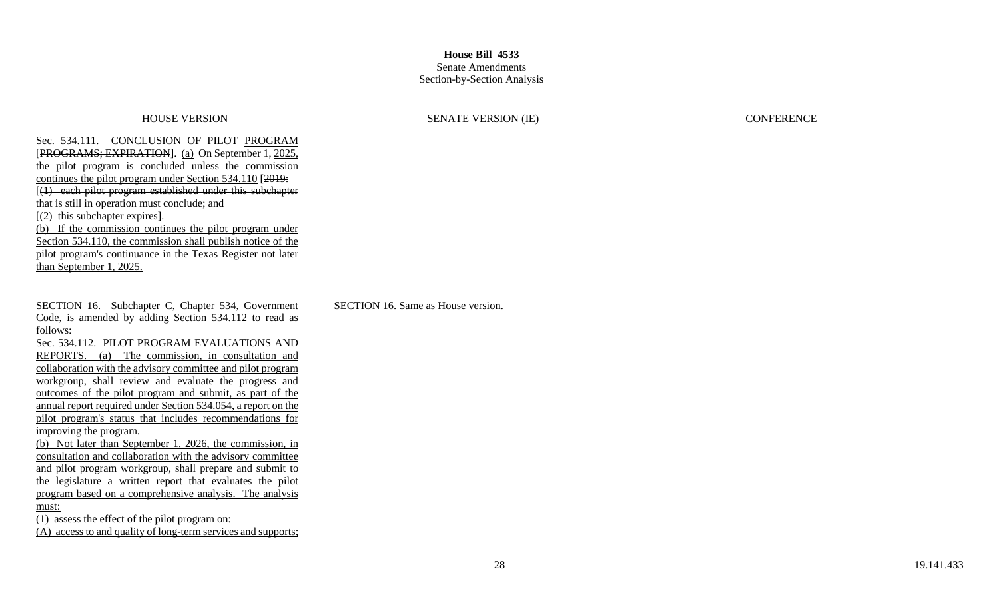### Senate Amendments Section-by-Section Analysis

Sec. 534.111. CONCLUSION OF PILOT PROGRAM [PROGRAMS; EXPIRATION]. (a) On September 1, 2025, the pilot program is concluded unless the commission continues the pilot program under Section 534.110 [2019: [(1) each pilot program established under this subchapter that is still in operation must conclude; and  $[$ (2) this subchapter expires].

(b) If the commission continues the pilot program under Section 534.110, the commission shall publish notice of the pilot program's continuance in the Texas Register not later than September 1, 2025.

SECTION 16. Subchapter C, Chapter 534, Government Code, is amended by adding Section 534.112 to read as follows:

Sec. 534.112. PILOT PROGRAM EVALUATIONS AND REPORTS. (a) The commission, in consultation and collaboration with the advisory committee and pilot program workgroup, shall review and evaluate the progress and outcomes of the pilot program and submit, as part of the annual report required under Section 534.054, a report on the pilot program's status that includes recommendations for improving the program.

(b) Not later than September 1, 2026, the commission, in consultation and collaboration with the advisory committee and pilot program workgroup, shall prepare and submit to the legislature a written report that evaluates the pilot program based on a comprehensive analysis. The analysis must:

(1) assess the effect of the pilot program on: (A) access to and quality of long-term services and supports;

HOUSE VERSION SENATE VERSION (IE) CONFERENCE

SECTION 16. Same as House version.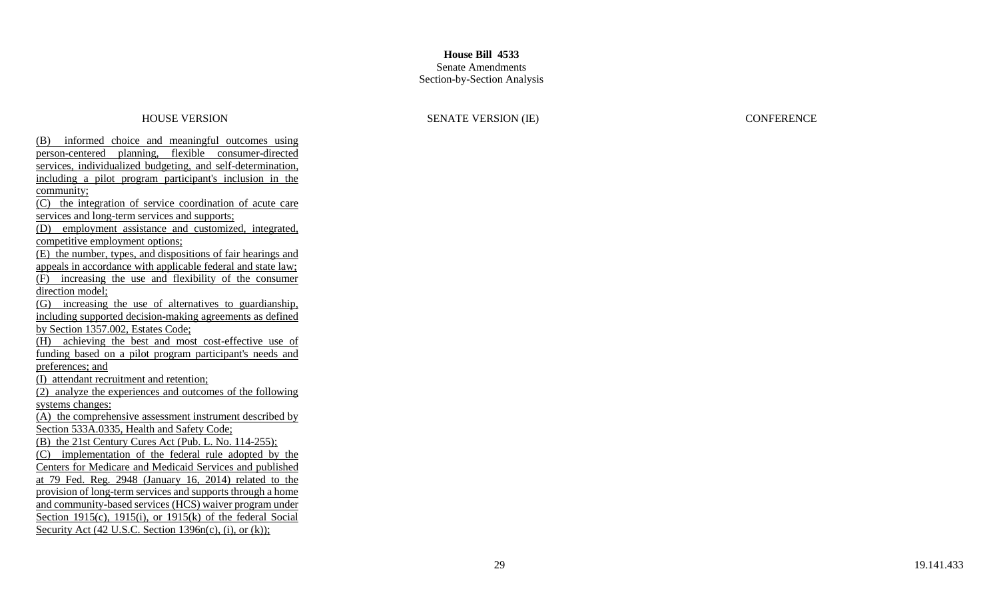### Senate Amendments Section -by -Section Analysis

### HOUSE VERSION SENATE VERSION (IE) CONFERENCE

(B) informed choice and meaningful outcomes using person -centered planning, flexible consumer -directed services, individualized budgeting, and self-determination, including a pilot program participant's inclusion in the community; (C) the integration of service coordination of acute care services and long-term services and supports; (D) employment assistance and customized, integrated, competitive employment options; (E) the number, types, and dispositions of fair hearings and appeals in accordance with applicable federal and state law; (F) increasing the use and flexibility of the consumer direction model; (G) increasing the use of alternatives to guardianship, including supported decision -making agreements as defined by Section 1357.002, Estates Code; (H) achieving the best and most cost-effective use of funding based on a pilot program participant's needs and preferences; and (I) attendant recruitment and retention; (2) analyze the experiences and outcomes of the following systems changes: (A) the comprehensive assessment instrument described by Section 533A.0335, Health and Safety Code; (B) the 21st Century Cures Act (Pub. L. No. 114 -255); (C) implementation of the federal rule adopted by the Centers for Medicare and Medicaid Services and published at 79 Fed. Reg. 2948 (January 16, 2014) related to the provision of long-term services and supports through a home and community -based services (HCS) waiver program under Section 1915(c), 1915(i), or 1915(k) of the federal Social Security Act  $(42 \text{ U.S.C. Section } 1396n(c), (i), or (k))$ ;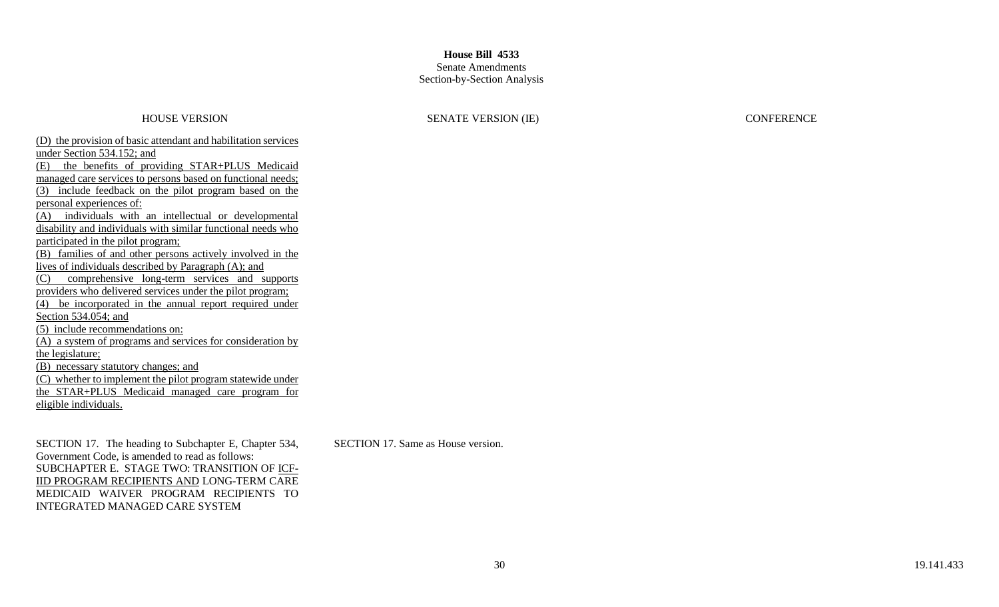### Senate Amendments Section-by-Section Analysis

### HOUSE VERSION SENATE VERSION (IE) CONFERENCE

(D) the provision of basic attendant and habilitation services under Section 534.152; and (E) the benefits of providing STAR+PLUS Medicaid managed care services to persons based on functional needs; (3) include feedback on the pilot program based on the personal experiences of: (A) individuals with an intellectual or developmental disability and individuals with similar functional needs who participated in the pilot program; (B) families of and other persons actively involved in the lives of individuals described by Paragraph (A); and (C) comprehensive long-term services and supports providers who delivered services under the pilot program; (4) be incorporated in the annual report required under Section 534.054; and (5) include recommendations on: (A) a system of programs and services for consideration by the legislature; (B) necessary statutory changes; and (C) whether to implement the pilot program statewide under the STAR+PLUS Medicaid managed care program for eligible individuals.

SECTION 17. The heading to Subchapter E, Chapter 534, Government Code, is amended to read as follows: SUBCHAPTER E. STAGE TWO: TRANSITION OF ICF-IID PROGRAM RECIPIENTS AND LONG-TERM CARE MEDICAID WAIVER PROGRAM RECIPIENTS TO INTEGRATED MANAGED CARE SYSTEM

SECTION 17. Same as House version.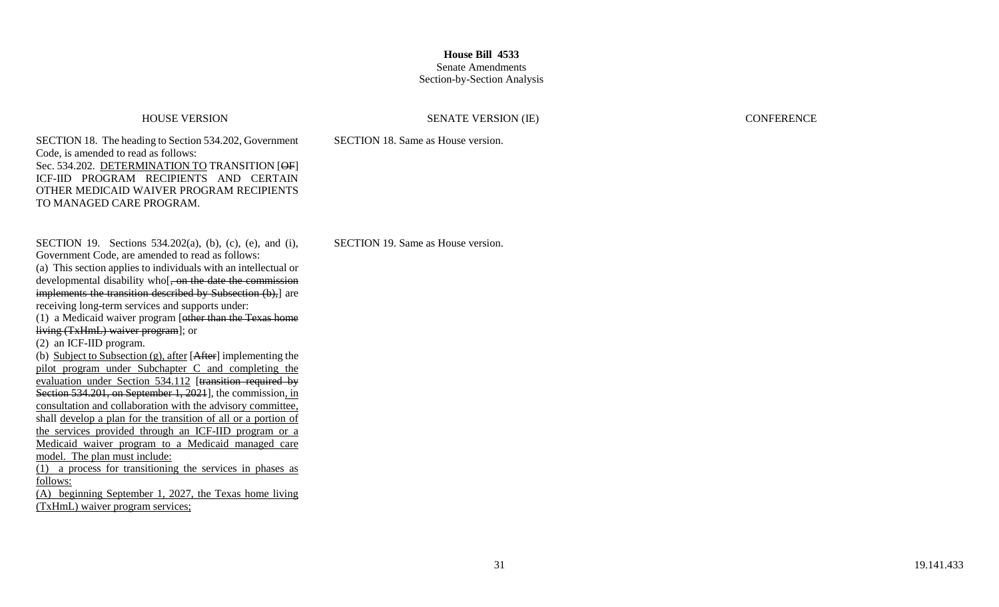# Senate Amendments

## Section-by-Section Analysis

### HOUSE VERSION SENATE VERSION (IE) CONFERENCE

SECTION 18. The heading to Section 534.202, Government Code, is amended to read as follows: Sec. 534.202. DETERMINATION TO TRANSITION [OF] ICF-IID PROGRAM RECIPIENTS AND CERTAIN OTHER MEDICAID WAIVER PROGRAM RECIPIENTS TO MANAGED CARE PROGRAM.

SECTION 19. Sections 534.202(a), (b), (c), (e), and (i), Government Code, are amended to read as follows: (a) This section applies to individuals with an intellectual or developmental disability who<sup>[</sup>, on the date the commission implements the transition described by Subsection (b), are receiving long-term services and supports under: (1) a Medicaid waiver program [other than the Texas home living (TxHmL) waiver program]; or (2) an ICF-IID program. (b) Subject to Subsection  $(g)$ , after [After] implementing the pilot program under Subchapter C and completing the evaluation under Section 534.112 [transition required by Section 534.201, on September 1, 2021], the commission, in consultation and collaboration with the advisory committee, shall develop a plan for the transition of all or a portion of the services provided through an ICF-IID program or a Medicaid waiver program to a Medicaid managed care model. The plan must include: (1) a process for transitioning the services in phases as follows: (A) beginning September 1, 2027, the Texas home living

(TxHmL) waiver program services;

SECTION 19. Same as House version.

SECTION 18. Same as House version.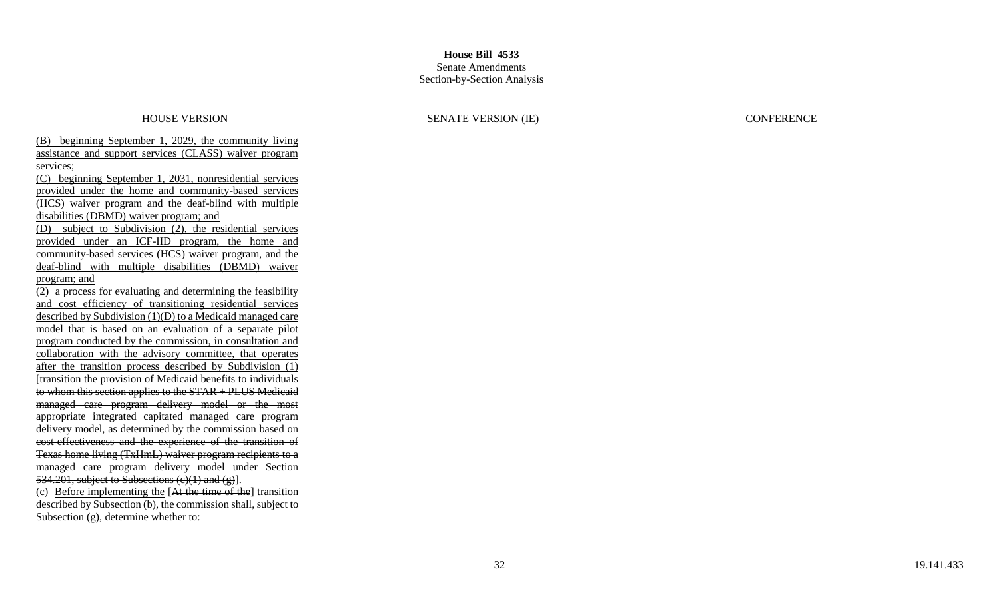### Senate Amendments Section -by -Section Analysis

(B) beginning September 1, 2029, the community living assistance and support services (CLASS) waiver program services;

(C) beginning September 1, 2031, nonresidential services provided under the home and community -based services (HCS) waiver program and the deaf -blind with multiple disabilities (DBMD) waiver program; and

(D) subject to Subdivision (2), the residential services provided under an ICF -IID program, the home and community -based services (HCS) waiver program, and the deaf-blind with multiple disabilities (DBMD) waiver program; and

(2) a process for evaluating and determining the feasibility and cost efficiency of transitioning residential services described by Subdivision (1)(D) to a Medicaid managed care model that is based on an evaluation of a separate pilot program conducted by the commission, in consultation and collaboration with the advisory committee, that operates after the transition process described by Subdivision (1) [transition the provision of Medicaid benefits to individuals to whom this section applies to the STAR + PLUS Medicaid managed care program delivery model or the most appropriate integrated capitated managed care program delivery model, as determined by the commission based on cost effectiveness and the experience of the transition of Texas home living (TxHmL) waiver program recipients to a managed care program delivery model under Section 534.201, subject to Subsections  $(c)(1)$  and  $(g)$ ].

(c) Before implementing the [At the time of the] transition described by Subsection (b), the commission shall, subject to Subsection (g), determine whether to: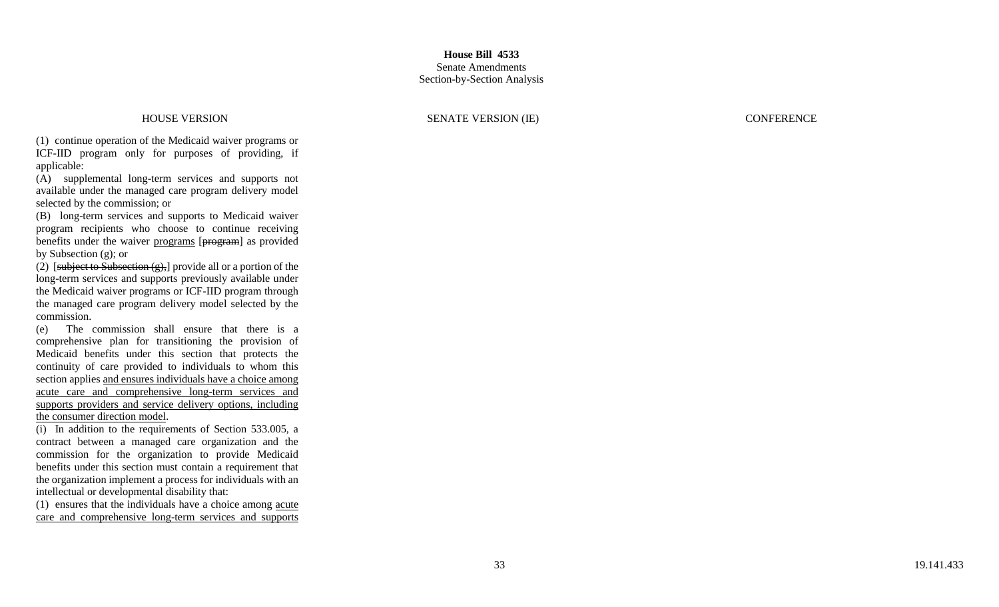HOUSE VERSION SENATE VERSION (IE) CONFERENCE

(1) continue operation of the Medicaid waiver programs or ICF -IID program only for purposes of providing, if applicable:

(A) supplemental long -term services and supports not available under the managed care program delivery model selected by the commission; or

(B) long -term services and supports to Medicaid waiver program recipients who choose to continue receiving benefits under the waiver programs [program] as provided by Subsection (g); or

(2) [subject to Subsection  $(g)$ ,] provide all or a portion of the long -term services and supports previously available under the Medicaid waiver programs or ICF -IID program through the managed care program delivery model selected by the commission.

(e) The commission shall ensure that there is a comprehensive plan for transitioning the provision of Medicaid benefits under this section that protects the continuity of care provided to individuals to whom this section applies and ensures individuals have a choice among acute care and comprehensive long -term services and supports providers and service delivery options, including the consumer direction model .

(i) In addition to the requirements of Section 533.005, a contract between a managed care organization and the commission for the organization to provide Medicaid benefits under this section must contain a requirement that the organization implement a process for individuals with an intellectual or developmental disability that:

(1) ensures that the individuals have a choice among acute care and comprehensive long -term services and supports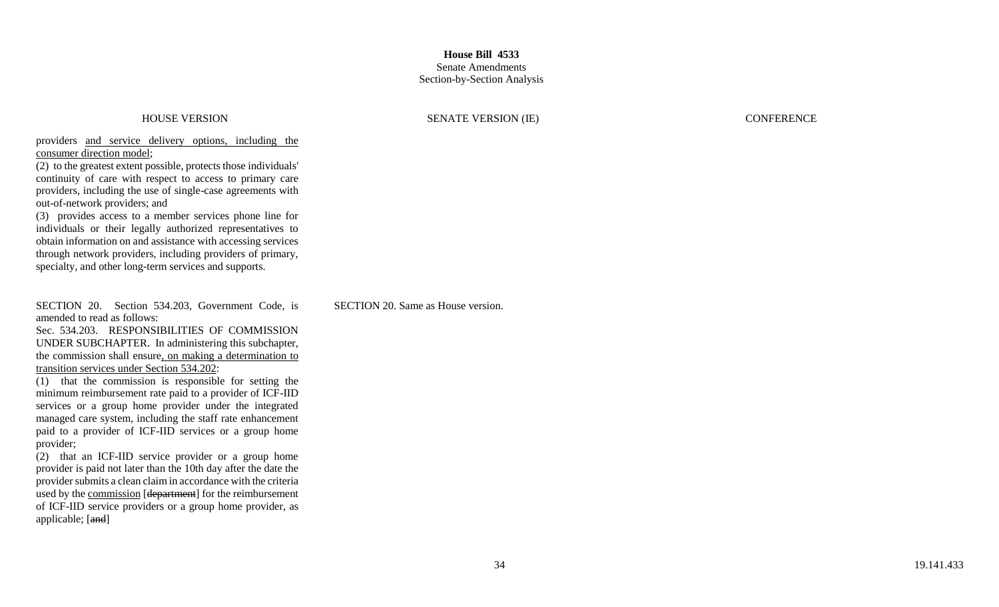### **House Bill 4533** Senate Amendments

# Section-by-Section Analysis

### HOUSE VERSION SENATE VERSION (IE) CONFERENCE

providers and service delivery options, including the consumer direction model;

(2) to the greatest extent possible, protects those individuals' continuity of care with respect to access to primary care providers, including the use of single-case agreements with out-of-network providers; and

(3) provides access to a member services phone line for individuals or their legally authorized representatives to obtain information on and assistance with accessing services through network providers, including providers of primary, specialty, and other long-term services and supports.

SECTION 20. Section 534.203, Government Code, is amended to read as follows:

Sec. 534.203. RESPONSIBILITIES OF COMMISSION UNDER SUBCHAPTER. In administering this subchapter, the commission shall ensure, on making a determination to transition services under Section 534.202:

(1) that the commission is responsible for setting the minimum reimbursement rate paid to a provider of ICF-IID services or a group home provider under the integrated managed care system, including the staff rate enhancement paid to a provider of ICF-IID services or a group home provider;

(2) that an ICF-IID service provider or a group home provider is paid not later than the 10th day after the date the provider submits a clean claim in accordance with the criteria used by the commission [department] for the reimbursement of ICF-IID service providers or a group home provider, as applicable; [and]

SECTION 20. Same as House version.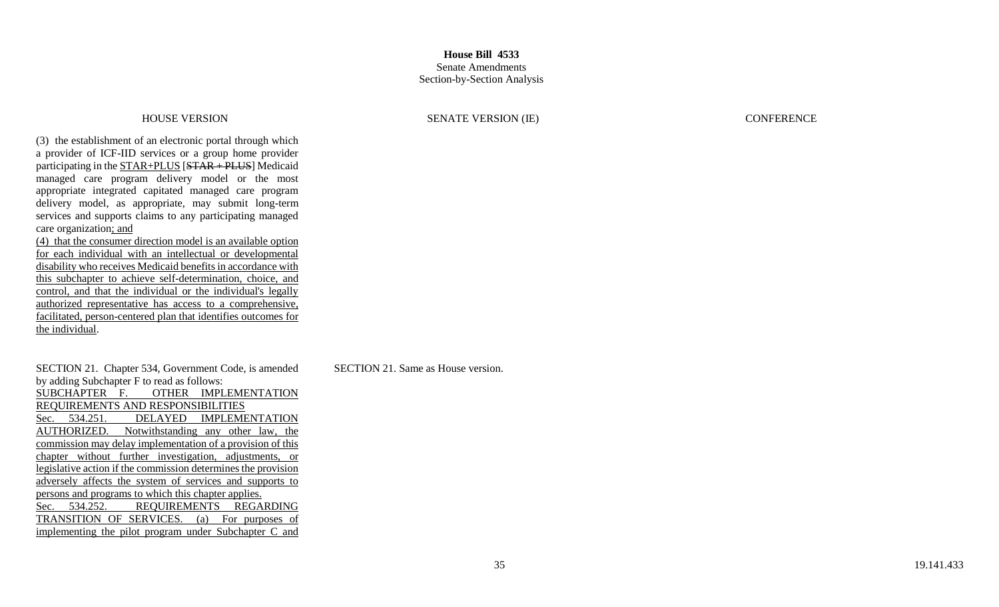(3) the establishment of an electronic portal through which a provider of ICF -IID services or a group home provider participating in the **STAR+PLUS** [STAR + PLUS] Medicaid managed care program delivery model or the most appropriate integrated capitated managed care program delivery model, as appropriate, may submit long -term services and supports claims to any participating managed care organization; and

(4) that the consumer direction model is an available option for each individual with an intellectual or developmental disability who receives Medicaid benefits in accordance with this subchapter to achieve self -determination, choice, and control, and that the individual or the individual's legally authorized representative has access to a comprehensive, facilitated, person -centered plan that identifies outcomes for the individual.

SECTION 21. Chapter 534, Government Code, is amended by adding Subchapter F to read as follows: SUBCHAPTER F. OTHER IMPLEMENTATION REQUIREMENTS AND RESPONSIBILITIES Sec. 534.251. DELAYED IMPLEMENTATION AUTHORIZED. Notwithstanding any other law, the commission may delay implementation of a provision of this chapter without further investigation, adjustments, or legislative action if the commission determines the provision adversely affects the system of services and supports to persons and programs to which this chapter applies. Sec. 534.252. REQUIREMENTS REGARDING TRANSITION OF SERVICES. (a) For purposes of implementing the pilot program under Subchapter C and

HOUSE VERSION SENATE VERSION (IE) CONFERENCE

SECTION 21. Same as House version.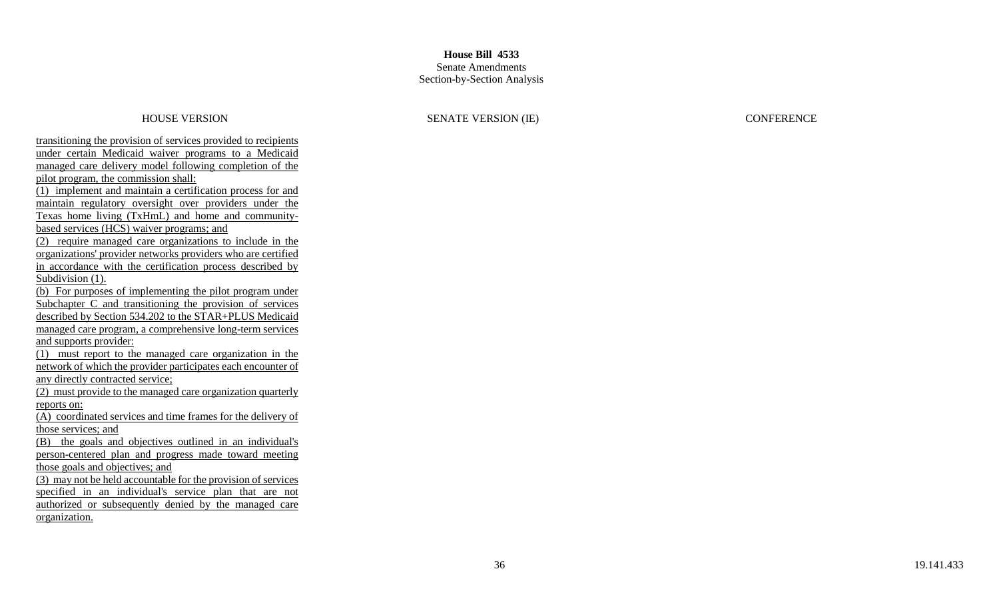### Senate Amendments Section -by -Section Analysis

### HOUSE VERSION SENATE VERSION (IE) CONFERENCE

transitioning the provision of services provided to recipients under certain Medicaid waiver programs to a Medicaid managed care delivery model following completion of the pilot program, the commission shall: (1) implement and maintain a certification process for and maintain regulatory oversight over providers under the Texas home living (TxHmL) and home and community based services (HCS) waiver programs; and (2) require managed care organizations to include in the organizations' provider networks providers who are certified in accordance with the certification process described by Subdivision  $(1)$ . (b) For purposes of implementing the pilot program under Subchapter C and transitioning the provision of services described by Section 534.202 to the STAR+PLUS Medicaid managed care program, a comprehensive long -term services and supports provider: (1) must report to the managed care organization in the network of which the provider participates each encounter of any directly contracted service; (2) must provide to the managed care organization quarterly reports on: (A) coordinated services and time frames for the delivery of those services; and (B) the goals and objectives outlined in an individual's person -centered plan and progress made toward meeting those goals and objectives; and (3) may not be held accountable for the provision of services specified in an individual's service plan that are not authorized or subsequently denied by the managed care organization.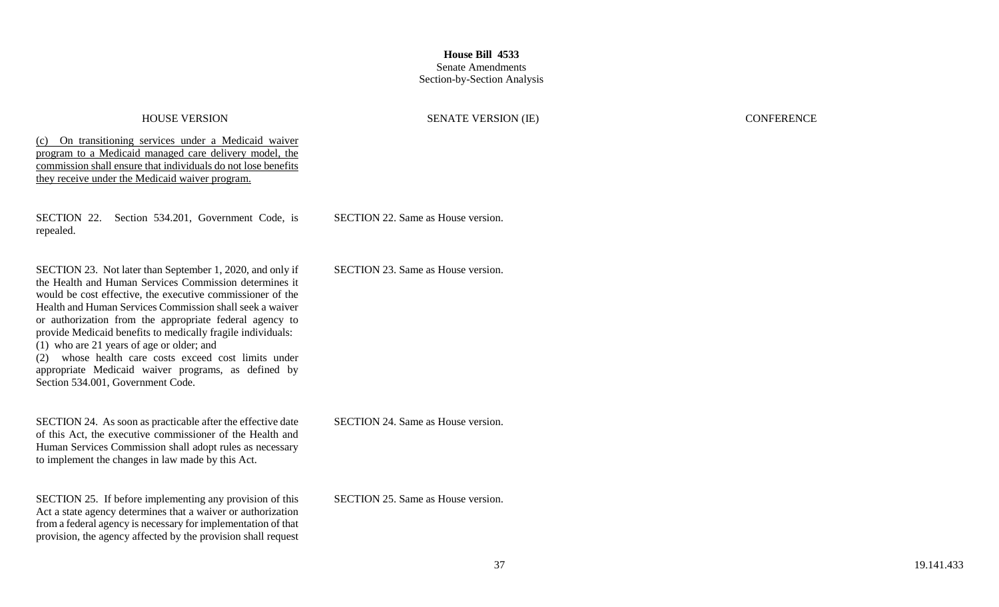## **House Bill 4533** Senate Amendments

## Section-by-Section Analysis

### HOUSE VERSION SENATE VERSION (IE) CONFERENCE

(c) On transitioning services under a Medicaid waiver program to a Medicaid managed care delivery model, the commission shall ensure that individuals do not lose benefits they receive under the Medicaid waiver program.

SECTION 22. Section 534.201, Government Code, is repealed.

SECTION 23. Not later than September 1, 2020, and only if the Health and Human Services Commission determines it would be cost effective, the executive commissioner of the Health and Human Services Commission shall seek a waiver or authorization from the appropriate federal agency to provide Medicaid benefits to medically fragile individuals: (1) who are 21 years of age or older; and (2) whose health care costs exceed cost limits under appropriate Medicaid waiver programs, as defined by Section 534.001, Government Code.

SECTION 24. As soon as practicable after the effective date of this Act, the executive commissioner of the Health and Human Services Commission shall adopt rules as necessary to implement the changes in law made by this Act.

SECTION 25. If before implementing any provision of this Act a state agency determines that a waiver or authorization from a federal agency is necessary for implementation of that provision, the agency affected by the provision shall request SECTION 22. Same as House version.

SECTION 23. Same as House version.

SECTION 24. Same as House version.

SECTION 25. Same as House version.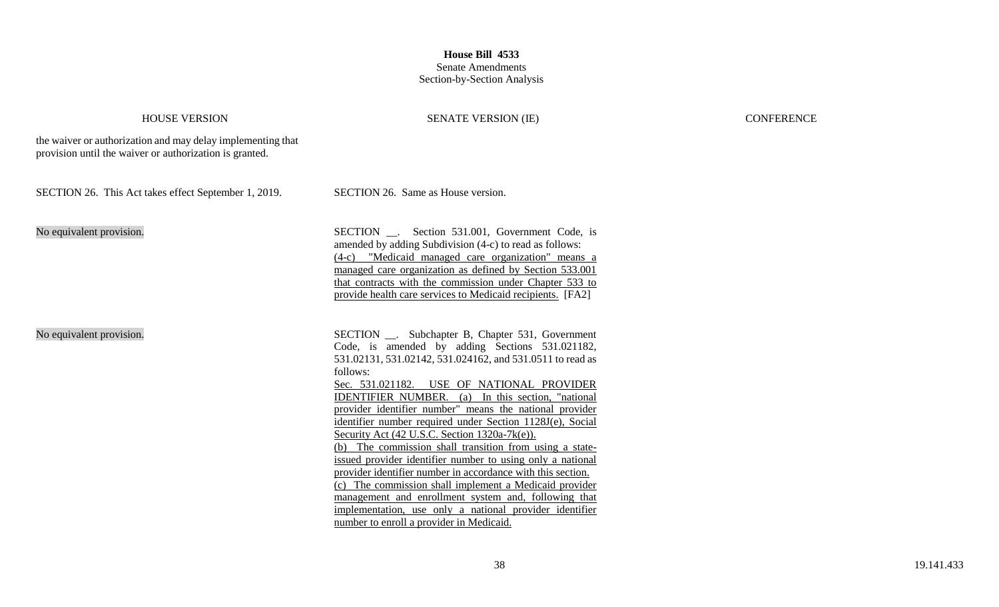### **House Bill 4533** Senate Amendments

## Section-by-Section Analysis

### HOUSE VERSION SENATE VERSION (IE) CONFERENCE

the waiver or authorization and may delay implementing that provision until the waiver or authorization is granted.

SECTION 26. This Act takes effect September 1, 2019. SECTION 26. Same as House version.

No equivalent provision. SECTION SECTION SECTION Section 531.001, Government Code, is amended by adding Subdivision (4-c) to read as follows: (4-c) "Medicaid managed care organization" means a managed care organization as defined by Section 533.001 that contracts with the commission under Chapter 533 to provide health care services to Medicaid recipients. [FA2]

No equivalent provision. SECTION \_\_. Subchapter B, Chapter 531, Government Code, is amended by adding Sections 531.021182, 531.02131, 531.02142, 531.024162, and 531.0511 to read as follows: Sec. 531.021182. USE OF NATIONAL PROVIDER IDENTIFIER NUMBER. (a) In this section, "national provider identifier number" means the national provider identifier number required under Section 1128J(e), Social Security Act (42 U.S.C. Section 1320a-7k(e)). (b) The commission shall transition from using a stateissued provider identifier number to using only a national provider identifier number in accordance with this section. (c) The commission shall implement a Medicaid provider management and enrollment system and, following that implementation, use only a national provider identifier number to enroll a provider in Medicaid.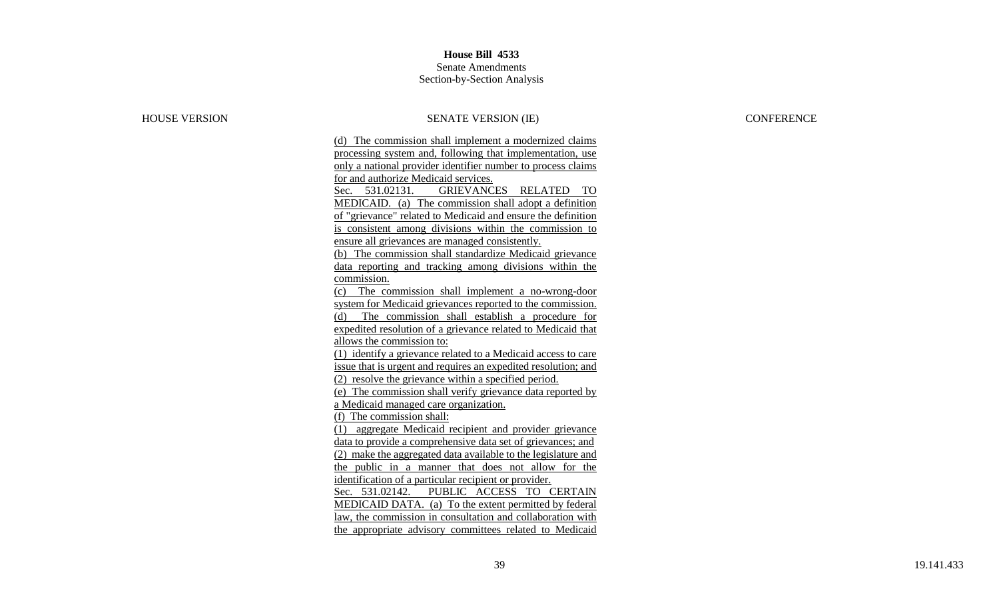### Senate Amendments Section -by -Section Analysis

### HOUSE VERSION SENATE VERSION (IE) CONFERENCE

(d) The commission shall implement a modernized claims processing system and, following that implementation, use only a national provider identifier number to process claims for and authorize Medicaid services. Sec. 531.02131. GRIEVANCES RELATED TO MEDICAID. (a) The commission shall adopt a definition of "grievance" related to Medicaid and ensure the definition is consistent among divisions within the commission to ensure all grievances are managed consistently. (b) The commission shall standardize Medicaid grievance data reporting and tracking among divisions within the commission. (c) The commission shall implement a no -wrong -door system for Medicaid grievances reported to the commission. (d) The commission shall establish a procedure for expedited resolution of a grievance related to Medicaid that allows the commission to: (1) identify a grievance related to a Medicaid access to care issue that is urgent and requires an expedited resolution; and (2) resolve the grievance within a specified period. (e) The commission shall verify grievance data reported by a Medicaid managed care organization. (f) The commission shall: (1) aggregate Medicaid recipient and provider grievance data to provide a comprehensive data set of grievances; and (2) make the aggregated data available to the legislature and the public in a manner that does not allow for the identification of a particular recipient or provider. Sec. 531.02142. PUBLIC ACCESS TO CERTAIN MEDICAID DATA. (a) To the extent permitted by federal law, the commission in consultation and collaboration with the appropriate advisory committees related to Medicaid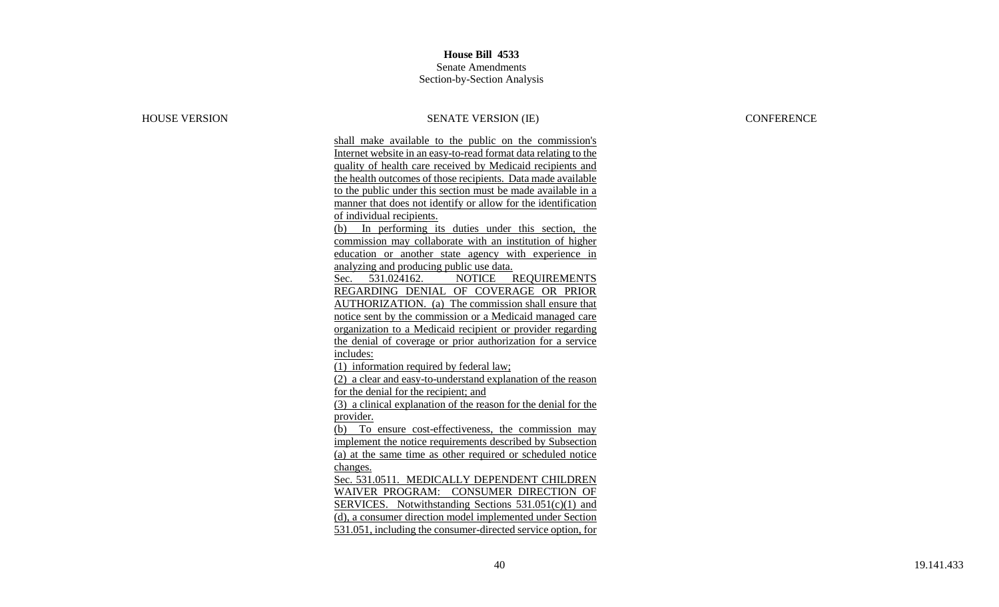## **House Bill 4533** Senate Amendments

### Section -by -Section Analysis

### HOUSE VERSION SENATE VERSION (IE) CONFERENCE

shall make available to the public on the commission's Internet website in an easy -to -read format data relating to the quality of health care received by Medicaid recipients and the health outcomes of those recipients. Data made available to the public under this section must be made available in a manner that does not identify or allow for the identification of individual recipients. (b) In performing its duties under this section, the commission may collaborate with an institution of higher education or another state agency with experience in analyzing and producing public use data.

Sec. 531.024162. NOTICE REQUIREMENTS REGARDING DENIAL OF COVERAGE OR PRIOR AUTHORIZATION. (a) The commission shall ensure that notice sent by the commission or a Medicaid managed care organization to a Medicaid recipient or provider regarding the denial of coverage or prior authorization for a service includes:

(1) information required by federal law;

(2) a clear and easy -to -understand explanation of the reason for the denial for the recipient; and

(3) a clinical explanation of the reason for the denial for the provider.

(b) To ensure cost -effectiveness, the commission may implement the notice requirements described by Subsection (a) at the same time as other required or scheduled notice changes.

Sec. 531.0511. MEDICALLY DEPENDENT CHILDREN WAIVER PROGRAM: CONSUMER DIRECTION OF SERVICES. Notwithstanding Sections 531.051(c)(1) and (d), a consumer direction model implemented under Section 531.051, including the consumer -directed service option, for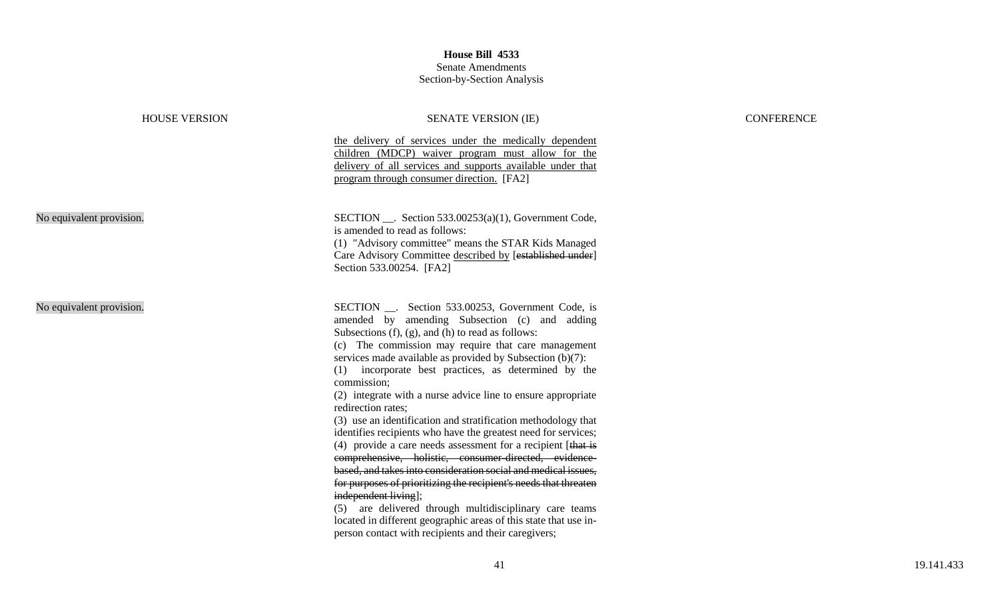| <b>HOUSE VERSION</b>     | <b>SENATE VERSION (IE)</b>                                                                                                                                                                                                                                                                                                                                                                                                                                                                                                                                                                                                                                                                                                                                                                                                                                                                                                                                                                                                                                              |
|--------------------------|-------------------------------------------------------------------------------------------------------------------------------------------------------------------------------------------------------------------------------------------------------------------------------------------------------------------------------------------------------------------------------------------------------------------------------------------------------------------------------------------------------------------------------------------------------------------------------------------------------------------------------------------------------------------------------------------------------------------------------------------------------------------------------------------------------------------------------------------------------------------------------------------------------------------------------------------------------------------------------------------------------------------------------------------------------------------------|
|                          | the delivery of services under the medically dependent<br>children (MDCP) waiver program must allow for the<br>delivery of all services and supports available under that<br>program through consumer direction. [FA2]                                                                                                                                                                                                                                                                                                                                                                                                                                                                                                                                                                                                                                                                                                                                                                                                                                                  |
| No equivalent provision. | SECTION __. Section 533.00253(a)(1), Government Code,<br>is amended to read as follows:<br>(1) "Advisory committee" means the STAR Kids Managed<br>Care Advisory Committee described by [established under]<br>Section 533.00254. [FA2]                                                                                                                                                                                                                                                                                                                                                                                                                                                                                                                                                                                                                                                                                                                                                                                                                                 |
| No equivalent provision. | SECTION __. Section 533.00253, Government Code, is<br>amended by amending Subsection (c) and adding<br>Subsections $(f)$ , $(g)$ , and $(h)$ to read as follows:<br>(c) The commission may require that care management<br>services made available as provided by Subsection $(b)(7)$ :<br>(1) incorporate best practices, as determined by the<br>commission;<br>(2) integrate with a nurse advice line to ensure appropriate<br>redirection rates;<br>(3) use an identification and stratification methodology that<br>identifies recipients who have the greatest need for services;<br>(4) provide a care needs assessment for a recipient [ $that is$<br>comprehensive, holistic, consumer-directed, evidence-<br>based, and takes into consideration social and medical issues,<br>for purposes of prioritizing the recipient's needs that threaten<br>independent living];<br>(5) are delivered through multidisciplinary care teams<br>located in different geographic areas of this state that use in-<br>person contact with recipients and their caregivers; |

## CONFERENCE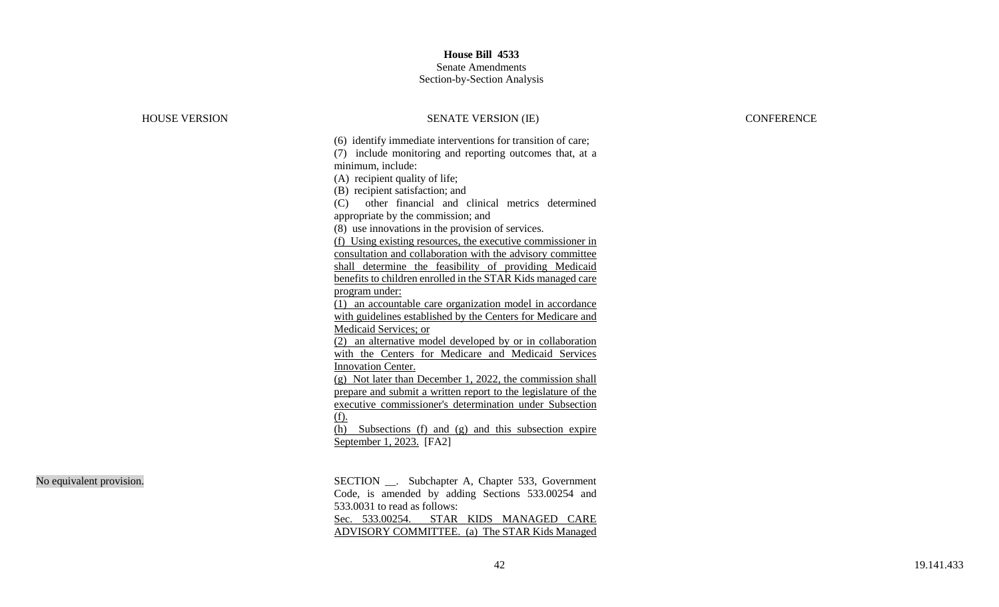# Senate Amendments

### Section -by -Section Analysis

| <b>HOUSE VERSION</b>     | <b>SENATE VERSION (IE)</b>                                                                                                                                                                                                                                                                                                                                                                                                                                                                                                                                                                                                                                                                                                                                                                                                                                                                                                                                                                                                                                                                                                                                                                                                                 | <b>CONFERENCE</b> |
|--------------------------|--------------------------------------------------------------------------------------------------------------------------------------------------------------------------------------------------------------------------------------------------------------------------------------------------------------------------------------------------------------------------------------------------------------------------------------------------------------------------------------------------------------------------------------------------------------------------------------------------------------------------------------------------------------------------------------------------------------------------------------------------------------------------------------------------------------------------------------------------------------------------------------------------------------------------------------------------------------------------------------------------------------------------------------------------------------------------------------------------------------------------------------------------------------------------------------------------------------------------------------------|-------------------|
|                          | (6) identify immediate interventions for transition of care;<br>(7) include monitoring and reporting outcomes that, at a<br>minimum, include:<br>(A) recipient quality of life;<br>(B) recipient satisfaction; and<br>other financial and clinical metrics determined<br>(C)<br>appropriate by the commission; and<br>(8) use innovations in the provision of services.<br>(f) Using existing resources, the executive commissioner in<br>consultation and collaboration with the advisory committee<br>shall determine the feasibility of providing Medicaid<br>benefits to children enrolled in the STAR Kids managed care<br>program under:<br>(1) an accountable care organization model in accordance<br>with guidelines established by the Centers for Medicare and<br>Medicaid Services; or<br>(2) an alternative model developed by or in collaboration<br>with the Centers for Medicare and Medicaid Services<br><b>Innovation Center.</b><br>(g) Not later than December 1, 2022, the commission shall<br>prepare and submit a written report to the legislature of the<br>executive commissioner's determination under Subsection<br>(f).<br>(h) Subsections (f) and (g) and this subsection expire<br>September 1, 2023. [FA2] |                   |
| No equivalent provision. | SECTION __. Subchapter A, Chapter 533, Government<br>Code, is amended by adding Sections 533.00254 and<br>533.0031 to read as follows:<br>$S_{\alpha\alpha}$ 522.00254 – CTAD VIDE MANAGED CADE                                                                                                                                                                                                                                                                                                                                                                                                                                                                                                                                                                                                                                                                                                                                                                                                                                                                                                                                                                                                                                            |                   |

Code, is amended by adding Sections 533.00254 and Sec. 533.00254. STAR KIDS MANAGED CARE ADVISORY COMMITTEE. (a) The STAR Kids Managed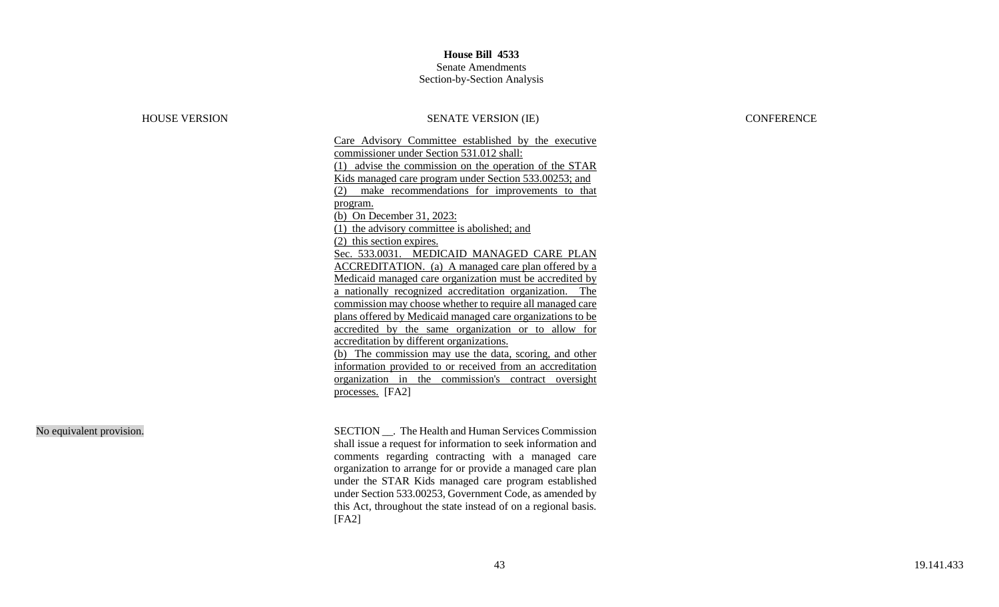### Senate Amendments Section-by-Section Analysis

### HOUSE VERSION SENATE VERSION (IE) CONFERENCE

Care Advisory Committee established by the executive commissioner under Section 531.012 shall: (1) advise the commission on the operation of the STAR Kids managed care program under Section 533.00253; and (2) make recommendations for improvements to that program. (b) On December 31, 2023: (1) the advisory committee is abolished; and (2) this section expires. Sec. 533.0031. MEDICAID MANAGED CARE PLAN ACCREDITATION. (a) A managed care plan offered by a Medicaid managed care organization must be accredited by a nationally recognized accreditation organization. The commission may choose whether to require all managed care plans offered by Medicaid managed care organizations to be accredited by the same organization or to allow for accreditation by different organizations. (b) The commission may use the data, scoring, and other information provided to or received from an accreditation organization in the commission's contract oversight processes. [FA2]

No equivalent provision. SECTION SECTION SECTION The Health and Human Services Commission shall issue a request for information to seek information and comments regarding contracting with a managed care organization to arrange for or provide a managed care plan under the STAR Kids managed care program established under Section 533.00253, Government Code, as amended by this Act, throughout the state instead of on a regional basis.  $[FA2]$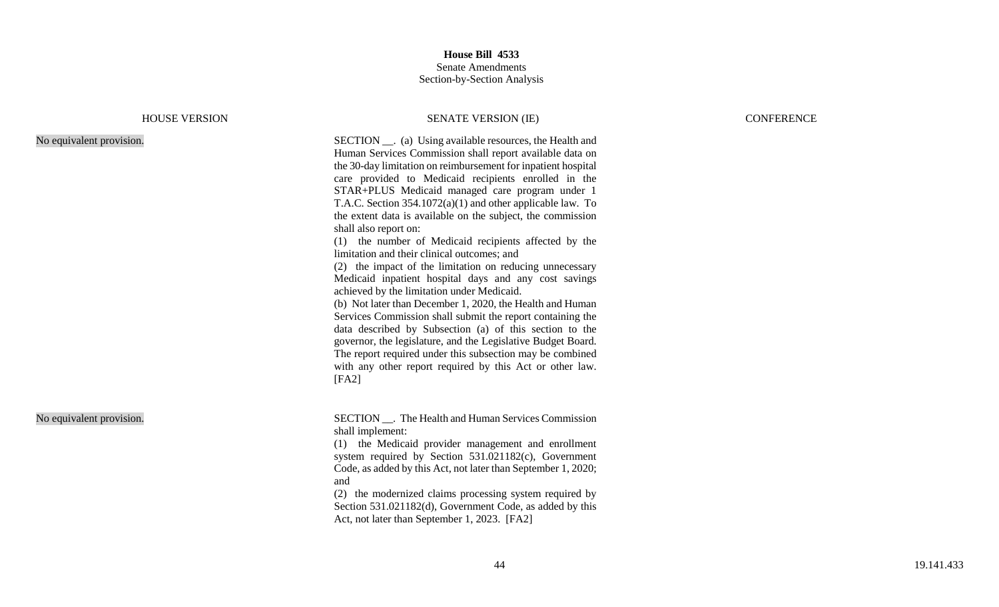### HOUSE VERSION SENATE VERSION (IE) CONFERENCE

No equivalent provision.

| <b>SECTION</b> ___. (a) Using available resources, the Health and |
|-------------------------------------------------------------------|
| Human Services Commission shall report available data on          |
| the 30-day limitation on reimbursement for inpatient hospital     |
| care provided to Medicaid recipients enrolled in the              |
| STAR+PLUS Medicaid managed care program under 1                   |
| T.A.C. Section $354.1072(a)(1)$ and other applicable law. To      |
| the extent data is available on the subject, the commission       |
| shall also report on:                                             |
| (1) the number of Medicaid recipients affected by the             |
| limitation and their clinical outcomes; and                       |
| (2) the impact of the limitation on reducing unnecessary          |
| Medicaid inpatient hospital days and any cost savings             |

achieved by the limitation under Medicaid. (b) Not later than December 1, 2020, the Health and Human Services Commission shall submit the report containing the data described by Subsection (a) of this section to the governor, the legislature, and the Legislative Budget Board. The report required under this subsection may be combined with any other report required by this Act or other law. [FA2]

No equivalent provision. SECTION \_\_. The Health and Human Services Commission shall implement:

> (1) the Medicaid provider management and enrollment system required by Section 531.021182(c), Government Code, as added by this Act, not later than September 1, 2020; and

> (2) the modernized claims processing system required by Section 531.021182(d), Government Code, as added by this Act, not later than September 1, 2023. [FA2]